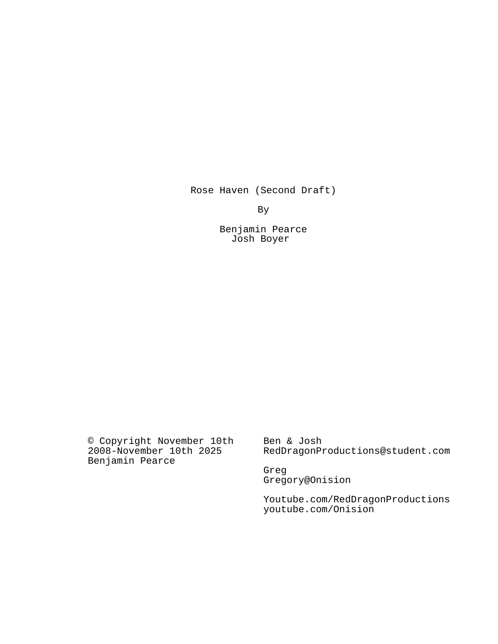Rose Haven (Second Draft)

By

Benjamin Pearce Josh Boyer

© Copyright November 10th 2008-November 10th 2025 Benjamin Pearce

Ben & Josh RedDragonProductions@student.com

Greg Gregory@Onision

Youtube.com/RedDragonProductions youtube.com/Onision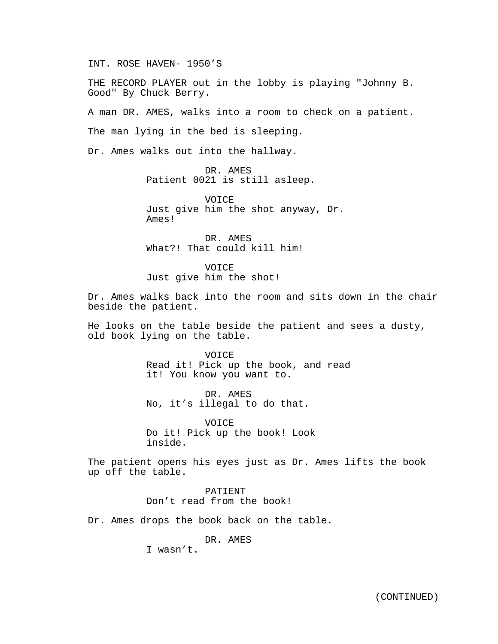INT. ROSE HAVEN- 1950'S

THE RECORD PLAYER out in the lobby is playing "Johnny B. Good" By Chuck Berry.

A man DR. AMES, walks into a room to check on a patient.

The man lying in the bed is sleeping.

Dr. Ames walks out into the hallway.

DR. AMES Patient 0021 is still asleep.

VOICE Just give him the shot anyway, Dr. Ames!

DR. AMES What?! That could kill him!

VOICE Just give him the shot!

Dr. Ames walks back into the room and sits down in the chair beside the patient.

He looks on the table beside the patient and sees a dusty, old book lying on the table.

> VOICE Read it! Pick up the book, and read it! You know you want to.

DR. AMES No, it's illegal to do that.

VOICE Do it! Pick up the book! Look inside.

The patient opens his eyes just as Dr. Ames lifts the book up off the table.

> PATIENT Don't read from the book!

Dr. Ames drops the book back on the table.

DR. AMES

I wasn't.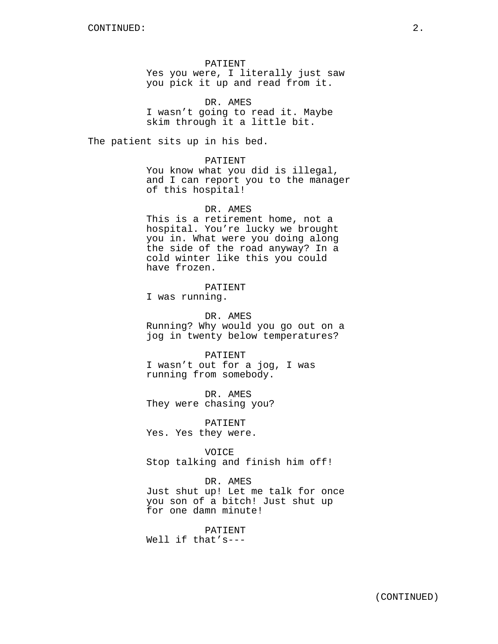PATIENT Yes you were, I literally just saw you pick it up and read from it.

DR. AMES I wasn't going to read it. Maybe skim through it a little bit.

The patient sits up in his bed.

PATIENT You know what you did is illegal, and I can report you to the manager of this hospital!

DR. AMES This is a retirement home, not a hospital. You're lucky we brought you in. What were you doing along the side of the road anyway? In a cold winter like this you could have frozen.

PATIENT I was running.

DR. AMES Running? Why would you go out on a jog in twenty below temperatures?

PATIENT I wasn't out for a jog, I was running from somebody.

DR. AMES They were chasing you?

PATIENT Yes. Yes they were.

VOICE Stop talking and finish him off!

DR. AMES Just shut up! Let me talk for once you son of a bitch! Just shut up for one damn minute!

PATIENT

Well if that's---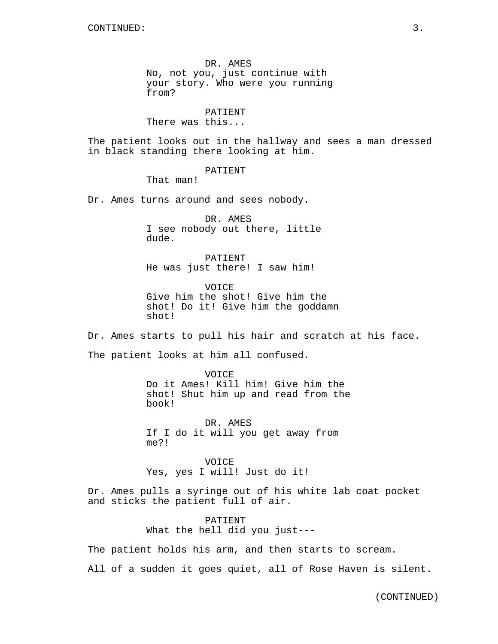DR. AMES No, not you, just continue with your story. Who were you running from?

PATIENT There was this...

The patient looks out in the hallway and sees a man dressed in black standing there looking at him.

PATIENT

That man!

Dr. Ames turns around and sees nobody.

DR. AMES I see nobody out there, little dude.

PATIENT He was just there! I saw him!

VOICE Give him the shot! Give him the shot! Do it! Give him the goddamn shot!

Dr. Ames starts to pull his hair and scratch at his face. The patient looks at him all confused.

> VOICE Do it Ames! Kill him! Give him the shot! Shut him up and read from the book!

DR. AMES If I do it will you get away from me?!

**VOICE** Yes, yes I will! Just do it!

Dr. Ames pulls a syringe out of his white lab coat pocket and sticks the patient full of air.

> PATIENT What the hell did you just---

The patient holds his arm, and then starts to scream.

All of a sudden it goes quiet, all of Rose Haven is silent.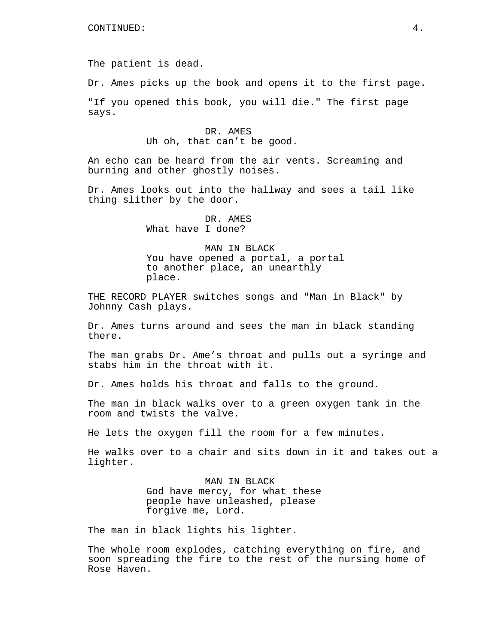The patient is dead.

Dr. Ames picks up the book and opens it to the first page.

"If you opened this book, you will die." The first page says.

> DR. AMES Uh oh, that can't be good.

An echo can be heard from the air vents. Screaming and burning and other ghostly noises.

Dr. Ames looks out into the hallway and sees a tail like thing slither by the door.

> DR. AMES What have I done?

MAN IN BLACK You have opened a portal, a portal to another place, an unearthly place.

THE RECORD PLAYER switches songs and "Man in Black" by Johnny Cash plays.

Dr. Ames turns around and sees the man in black standing there.

The man grabs Dr. Ame's throat and pulls out a syringe and stabs him in the throat with it.

Dr. Ames holds his throat and falls to the ground.

The man in black walks over to a green oxygen tank in the room and twists the valve.

He lets the oxygen fill the room for a few minutes.

He walks over to a chair and sits down in it and takes out a lighter.

> MAN IN BLACK God have mercy, for what these people have unleashed, please forgive me, Lord.

The man in black lights his lighter.

The whole room explodes, catching everything on fire, and soon spreading the fire to the rest of the nursing home of Rose Haven.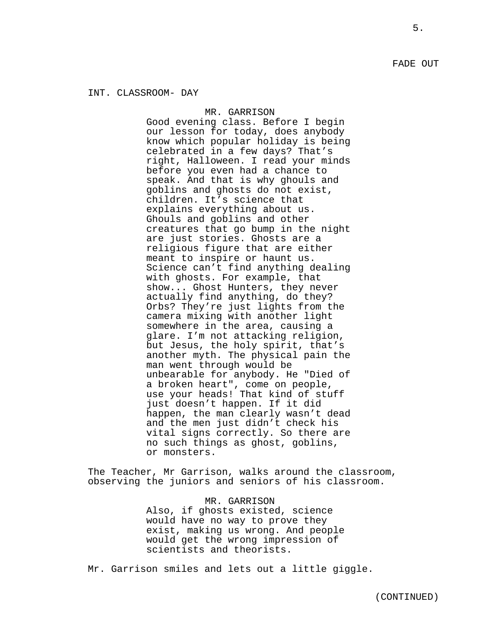MR. GARRISON Good evening class. Before I begin our lesson for today, does anybody know which popular holiday is being celebrated in a few days? That's right, Halloween. I read your minds before you even had a chance to speak. And that is why ghouls and goblins and ghosts do not exist, children. It's science that explains everything about us. Ghouls and goblins and other creatures that go bump in the night are just stories. Ghosts are a religious figure that are either meant to inspire or haunt us. Science can't find anything dealing with ghosts. For example, that show... Ghost Hunters, they never actually find anything, do they? Orbs? They're just lights from the camera mixing with another light somewhere in the area, causing a glare. I'm not attacking religion, but Jesus, the holy spirit, that's another myth. The physical pain the man went through would be unbearable for anybody. He "Died of a broken heart", come on people, use your heads! That kind of stuff just doesn't happen. If it did happen, the man clearly wasn't dead and the men just didn't check his vital signs correctly. So there are no such things as ghost, goblins, or monsters.

The Teacher, Mr Garrison, walks around the classroom, observing the juniors and seniors of his classroom.

> MR. GARRISON Also, if ghosts existed, science would have no way to prove they exist, making us wrong. And people would get the wrong impression of scientists and theorists.

Mr. Garrison smiles and lets out a little giggle.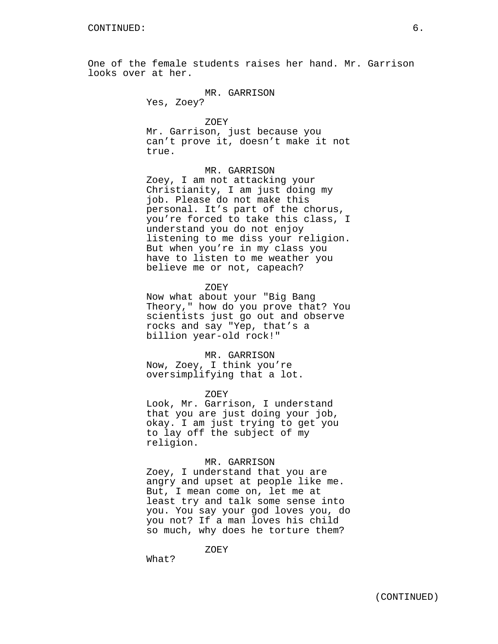One of the female students raises her hand. Mr. Garrison looks over at her.

# MR. GARRISON

Yes, Zoey?

#### ZOEY

Mr. Garrison, just because you can't prove it, doesn't make it not true.

#### MR. GARRISON

Zoey, I am not attacking your Christianity, I am just doing my job. Please do not make this personal. It's part of the chorus, you're forced to take this class, I understand you do not enjoy listening to me diss your religion. But when you're in my class you have to listen to me weather you believe me or not, capeach?

### ZOEY

Now what about your "Big Bang Theory," how do you prove that? You scientists just go out and observe rocks and say "Yep, that's a billion year-old rock!"

### MR. GARRISON

Now, Zoey, I think you're oversimplifying that a lot.

#### ZOEY

Look, Mr. Garrison, I understand that you are just doing your job, okay. I am just trying to get you to lay off the subject of my religion.

### MR. GARRISON

Zoey, I understand that you are angry and upset at people like me. But, I mean come on, let me at least try and talk some sense into you. You say your god loves you, do you not? If a man loves his child so much, why does he torture them?

ZOEY

What?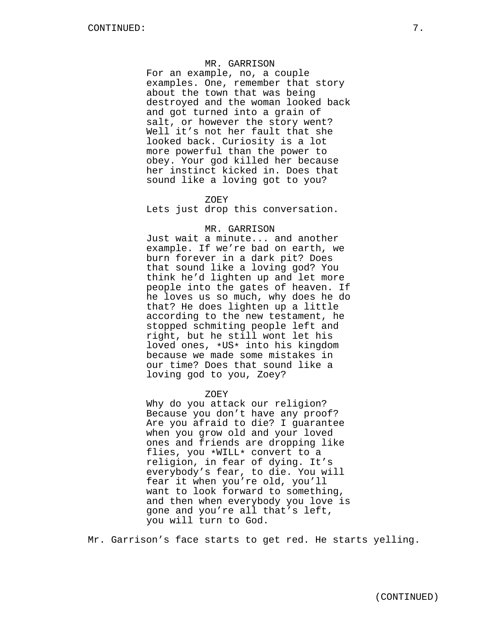### MR. GARRISON

For an example, no, a couple examples. One, remember that story about the town that was being destroyed and the woman looked back and got turned into a grain of salt, or however the story went? Well it's not her fault that she looked back. Curiosity is a lot more powerful than the power to obey. Your god killed her because her instinct kicked in. Does that sound like a loving got to you?

#### ZOEY

Lets just drop this conversation.

#### MR. GARRISON

Just wait a minute... and another example. If we're bad on earth, we burn forever in a dark pit? Does that sound like a loving god? You think he'd lighten up and let more people into the gates of heaven. If he loves us so much, why does he do that? He does lighten up a little according to the new testament, he stopped schmiting people left and right, but he still wont let his loved ones, \*US\* into his kingdom because we made some mistakes in our time? Does that sound like a loving god to you, Zoey?

#### ZOEY

Why do you attack our religion? Because you don't have any proof? Are you afraid to die? I guarantee when you grow old and your loved ones and friends are dropping like flies, you \*WILL\* convert to a religion, in fear of dying. It's everybody's fear, to die. You will fear it when you're old, you'll want to look forward to something, and then when everybody you love is gone and you're all that's left, you will turn to God.

Mr. Garrison's face starts to get red. He starts yelling.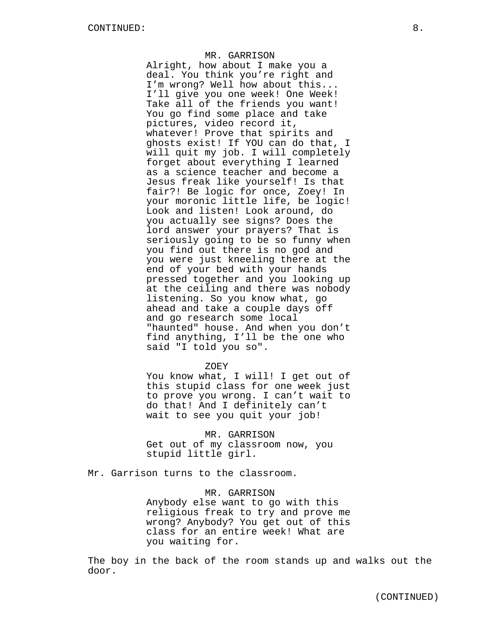#### MR. GARRISON

Alright, how about I make you a deal. You think you're right and I'm wrong? Well how about this... I'll give you one week! One Week! Take all of the friends you want! You go find some place and take pictures, video record it, whatever! Prove that spirits and ghosts exist! If YOU can do that, I will quit my job. I will completely forget about everything I learned as a science teacher and become a Jesus freak like yourself! Is that fair?! Be logic for once, Zoey! In your moronic little life, be logic! Look and listen! Look around, do you actually see signs? Does the lord answer your prayers? That is seriously going to be so funny when you find out there is no god and you were just kneeling there at the end of your bed with your hands pressed together and you looking up at the ceiling and there was nobody listening. So you know what, go ahead and take a couple days off and go research some local "haunted" house. And when you don't find anything, I'll be the one who said "I told you so".

ZOEY

You know what, I will! I get out of this stupid class for one week just to prove you wrong. I can't wait to do that! And I definitely can't wait to see you quit your job!

MR. GARRISON Get out of my classroom now, you stupid little girl.

Mr. Garrison turns to the classroom.

MR. GARRISON

Anybody else want to go with this religious freak to try and prove me wrong? Anybody? You get out of this class for an entire week! What are you waiting for.

The boy in the back of the room stands up and walks out the door.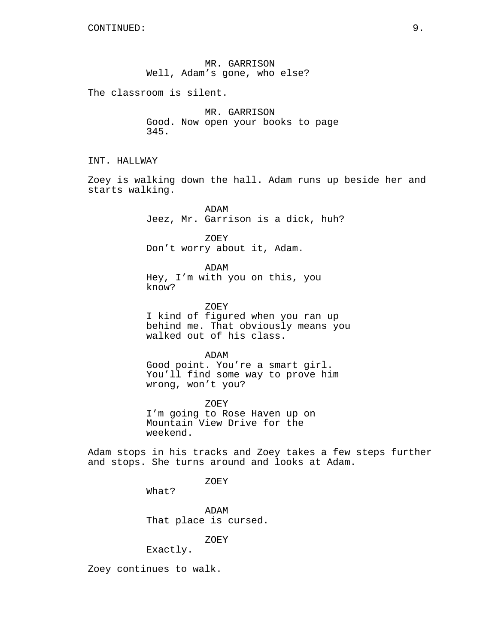MR. GARRISON Well, Adam's gone, who else?

The classroom is silent.

MR. GARRISON Good. Now open your books to page 345.

INT. HALLWAY

Zoey is walking down the hall. Adam runs up beside her and starts walking.

> ADAM Jeez, Mr. Garrison is a dick, huh?

ZOEY Don't worry about it, Adam.

ADAM Hey, I'm with you on this, you know?

ZOEY I kind of figured when you ran up behind me. That obviously means you walked out of his class.

ADAM Good point. You're a smart girl. You'll find some way to prove him wrong, won't you?

ZOEY I'm going to Rose Haven up on Mountain View Drive for the weekend.

Adam stops in his tracks and Zoey takes a few steps further and stops. She turns around and looks at Adam.

ZOEY

What?

ADAM That place is cursed.

ZOEY

Exactly.

Zoey continues to walk.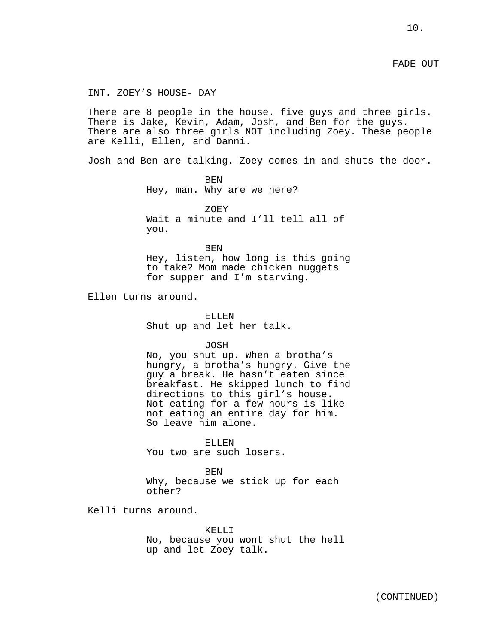FADE OUT

INT. ZOEY'S HOUSE- DAY

There are 8 people in the house. five guys and three girls. There is Jake, Kevin, Adam, Josh, and Ben for the guys. There are also three girls NOT including Zoey. These people are Kelli, Ellen, and Danni.

Josh and Ben are talking. Zoey comes in and shuts the door.

BEN Hey, man. Why are we here?

ZOEY Wait a minute and I'll tell all of you.

BEN Hey, listen, how long is this going to take? Mom made chicken nuggets for supper and I'm starving.

Ellen turns around.

ELLEN Shut up and let her talk.

JOSH

No, you shut up. When a brotha's hungry, a brotha's hungry. Give the guy a break. He hasn't eaten since breakfast. He skipped lunch to find directions to this girl's house. Not eating for a few hours is like not eating an entire day for him. So leave him alone.

ELLEN You two are such losers.

BEN

Why, because we stick up for each other?

Kelli turns around.

KELLI<sub>J</sub> No, because you wont shut the hell up and let Zoey talk.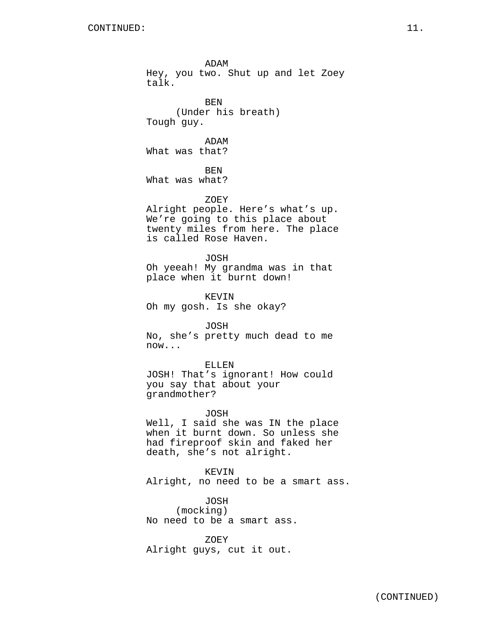ADAM Hey, you two. Shut up and let Zoey talk. BEN (Under his breath) Tough guy. ADAM What was that? BEN What was what? ZOEY Alright people. Here's what's up. We're going to this place about twenty miles from here. The place is called Rose Haven. JOSH Oh yeeah! My grandma was in that place when it burnt down! KEVIN Oh my gosh. Is she okay? JOSH No, she's pretty much dead to me now... ELLEN JOSH! That's ignorant! How could you say that about your grandmother? JOSH Well, I said she was IN the place when it burnt down. So unless she had fireproof skin and faked her death, she's not alright.

KEVIN Alright, no need to be a smart ass.

JOSH (mocking) No need to be a smart ass.

ZOEY Alright guys, cut it out.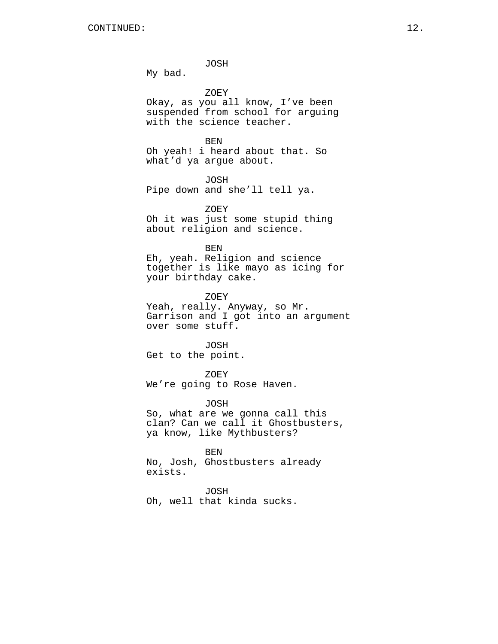JOSH

My bad.

ZOEY

Okay, as you all know, I've been suspended from school for arguing with the science teacher.

```
BEN
```
Oh yeah! i heard about that. So what'd ya argue about.

JOSH Pipe down and she'll tell ya.

ZOEY Oh it was just some stupid thing about religion and science.

```
BEN
```
Eh, yeah. Religion and science together is like mayo as icing for your birthday cake.

ZOEY

Yeah, really. Anyway, so Mr. Garrison and I got into an argument over some stuff.

JOSH Get to the point.

ZOEY We're going to Rose Haven.

JOSH So, what are we gonna call this clan? Can we call it Ghostbusters, ya know, like Mythbusters?

BEN No, Josh, Ghostbusters already

exists.

JOSH

Oh, well that kinda sucks.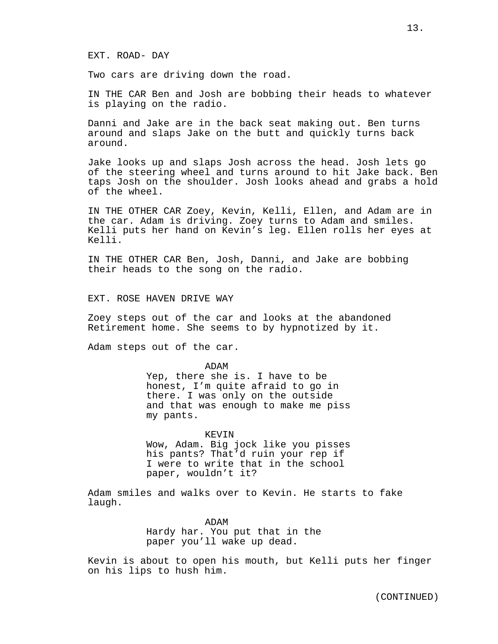Two cars are driving down the road.

IN THE CAR Ben and Josh are bobbing their heads to whatever is playing on the radio.

Danni and Jake are in the back seat making out. Ben turns around and slaps Jake on the butt and quickly turns back around.

Jake looks up and slaps Josh across the head. Josh lets go of the steering wheel and turns around to hit Jake back. Ben taps Josh on the shoulder. Josh looks ahead and grabs a hold of the wheel.

IN THE OTHER CAR Zoey, Kevin, Kelli, Ellen, and Adam are in the car. Adam is driving. Zoey turns to Adam and smiles. Kelli puts her hand on Kevin's leg. Ellen rolls her eyes at Kelli.

IN THE OTHER CAR Ben, Josh, Danni, and Jake are bobbing their heads to the song on the radio.

EXT. ROSE HAVEN DRIVE WAY

Zoey steps out of the car and looks at the abandoned Retirement home. She seems to by hypnotized by it.

Adam steps out of the car.

ADAM Yep, there she is. I have to be honest, I'm quite afraid to go in there. I was only on the outside and that was enough to make me piss my pants.

KEVIN Wow, Adam. Big jock like you pisses his pants? That'd ruin your rep if I were to write that in the school paper, wouldn't it?

Adam smiles and walks over to Kevin. He starts to fake laugh.

> ADAM Hardy har. You put that in the paper you'll wake up dead.

Kevin is about to open his mouth, but Kelli puts her finger on his lips to hush him.

(CONTINUED)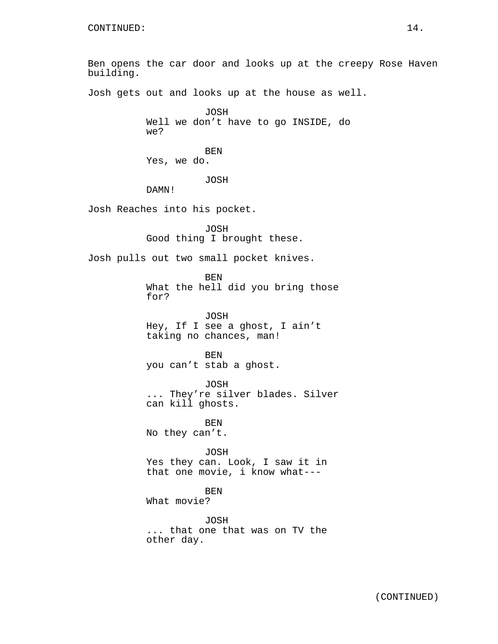Ben opens the car door and looks up at the creepy Rose Haven building. Josh gets out and looks up at the house as well. JOSH Well we don't have to go INSIDE, do we? BEN Yes, we do. JOSH DAMN! Josh Reaches into his pocket. JOSH Good thing I brought these. Josh pulls out two small pocket knives. BEN What the hell did you bring those for? JOSH Hey, If I see a ghost, I ain't taking no chances, man! BEN you can't stab a ghost. JOSH ... They're silver blades. Silver can kill ghosts. BEN No they can't. JOSH Yes they can. Look, I saw it in that one movie, i know what--- BEN What movie? JOSH ... that one that was on TV the other day.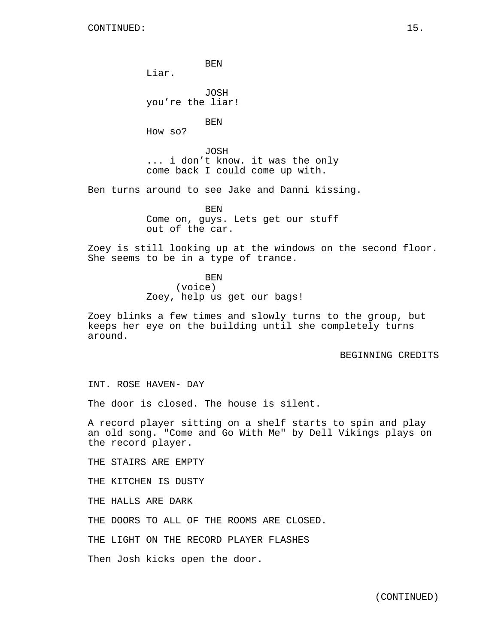BEN Liar. JOSH you're the liar! BEN How so? JOSH ... i don't know. it was the only come back I could come up with. Ben turns around to see Jake and Danni kissing. BEN

Come on, guys. Lets get our stuff out of the car.

Zoey is still looking up at the windows on the second floor. She seems to be in a type of trance.

> **BEN** (voice) Zoey, help us get our bags!

Zoey blinks a few times and slowly turns to the group, but keeps her eye on the building until she completely turns around.

#### BEGINNING CREDITS

INT. ROSE HAVEN- DAY

The door is closed. The house is silent.

A record player sitting on a shelf starts to spin and play an old song. "Come and Go With Me" by Dell Vikings plays on the record player.

THE STAIRS ARE EMPTY

THE KITCHEN IS DUSTY

THE HALLS ARE DARK

THE DOORS TO ALL OF THE ROOMS ARE CLOSED.

THE LIGHT ON THE RECORD PLAYER FLASHES

Then Josh kicks open the door.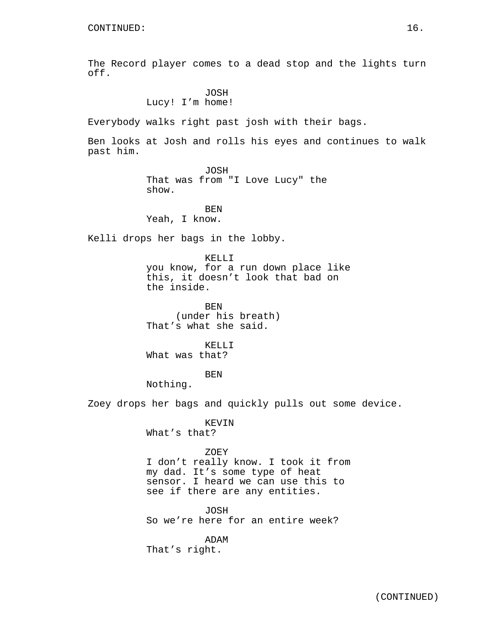The Record player comes to a dead stop and the lights turn off.

# JOSH Lucy! I'm home!

Everybody walks right past josh with their bags.

Ben looks at Josh and rolls his eyes and continues to walk past him.

### JOSH That was from "I Love Lucy" the show.

BEN Yeah, I know.

Kelli drops her bags in the lobby.

# KELLI you know, for a run down place like this, it doesn't look that bad on the inside.

BEN (under his breath) That's what she said.

KELLI What was that?

BEN

Nothing.

Zoey drops her bags and quickly pulls out some device.

KEVIN What's that?

### ZOEY

I don't really know. I took it from my dad. It's some type of heat sensor. I heard we can use this to see if there are any entities.

#### JOSH

So we're here for an entire week?

ADAM That's right.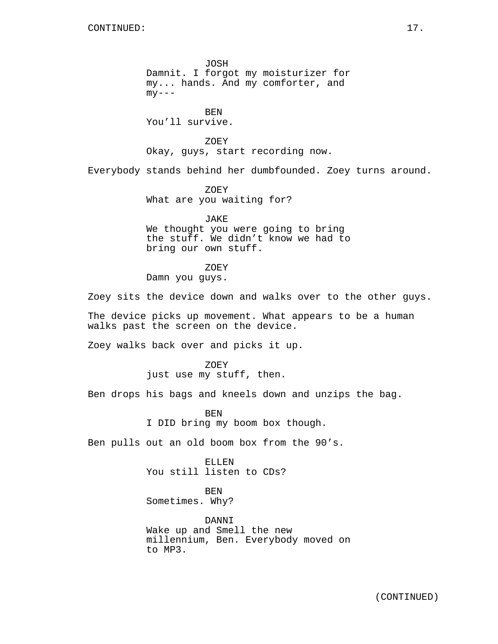JOSH Damnit. I forgot my moisturizer for my... hands. And my comforter, and  $my--$ 

**BEN** You'll survive.

ZOEY Okay, guys, start recording now.

Everybody stands behind her dumbfounded. Zoey turns around.

ZOEY What are you waiting for?

JAKE We thought you were going to bring the stuff. We didn't know we had to bring our own stuff.

ZOEY Damn you guys.

Zoey sits the device down and walks over to the other guys.

The device picks up movement. What appears to be a human walks past the screen on the device.

Zoey walks back over and picks it up.

ZOEY just use my stuff, then.

Ben drops his bags and kneels down and unzips the bag.

BEN I DID bring my boom box though.

Ben pulls out an old boom box from the 90's.

ELLEN You still listen to CDs?

BEN Sometimes. Why?

DANNI Wake up and Smell the new millennium, Ben. Everybody moved on to MP3.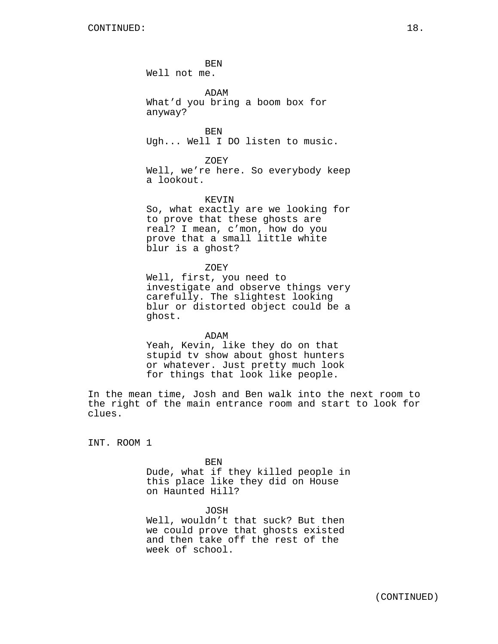BEN Well not me.

ADAM What'd you bring a boom box for anyway?

BEN Ugh... Well I DO listen to music.

ZOEY Well, we're here. So everybody keep a lookout.

### KEVIN

So, what exactly are we looking for to prove that these ghosts are real? I mean, c'mon, how do you prove that a small little white blur is a ghost?

ZOEY

Well, first, you need to investigate and observe things very carefully. The slightest looking blur or distorted object could be a ghost.

ADAM Yeah, Kevin, like they do on that stupid tv show about ghost hunters or whatever. Just pretty much look for things that look like people.

In the mean time, Josh and Ben walk into the next room to the right of the main entrance room and start to look for clues.

INT. ROOM 1

BEN

Dude, what if they killed people in this place like they did on House on Haunted Hill?

JOSH

Well, wouldn't that suck? But then we could prove that ghosts existed and then take off the rest of the week of school.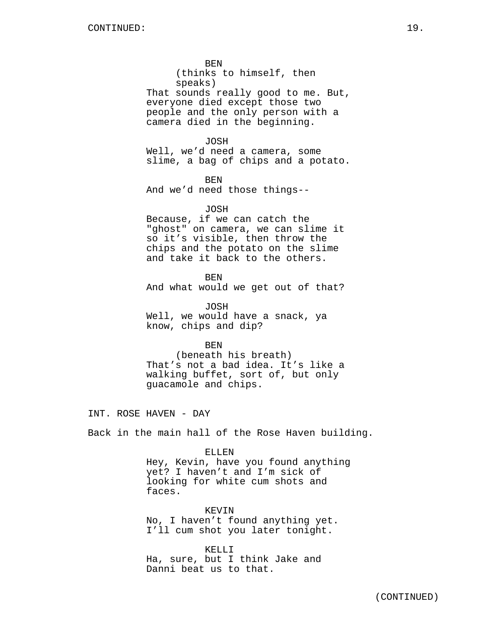BEN (thinks to himself, then speaks) That sounds really good to me. But, everyone died except those two people and the only person with a camera died in the beginning.

JOSH

Well, we'd need a camera, some slime, a bag of chips and a potato.

BEN

And we'd need those things--

JOSH

Because, if we can catch the "ghost" on camera, we can slime it so it's visible, then throw the chips and the potato on the slime and take it back to the others.

**BEN** And what would we get out of that?

JOSH Well, we would have a snack, ya know, chips and dip?

BEN

(beneath his breath) That's not a bad idea. It's like a walking buffet, sort of, but only guacamole and chips.

INT. ROSE HAVEN - DAY

Back in the main hall of the Rose Haven building.

ELLEN

Hey, Kevin, have you found anything yet? I haven't and I'm sick of looking for white cum shots and faces.

KEVIN No, I haven't found anything yet. I'll cum shot you later tonight.

KELLI Ha, sure, but I think Jake and Danni beat us to that.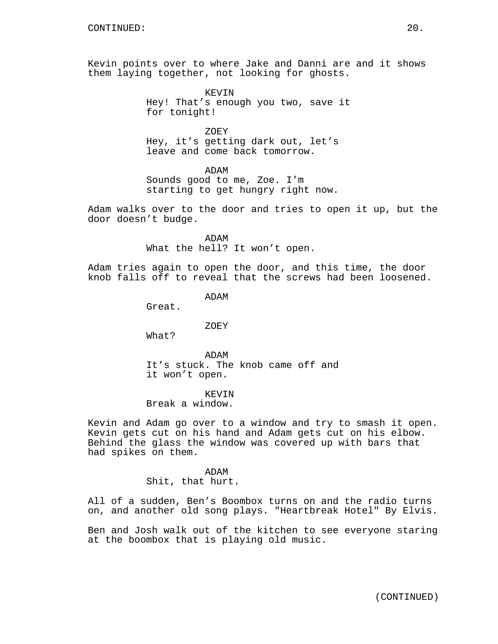Kevin points over to where Jake and Danni are and it shows them laying together, not looking for ghosts.

> KEVIN Hey! That's enough you two, save it for tonight!

ZOEY Hey, it's getting dark out, let's leave and come back tomorrow.

ADAM

Sounds good to me, Zoe. I'm starting to get hungry right now.

Adam walks over to the door and tries to open it up, but the door doesn't budge.

> ADAM What the hell? It won't open.

Adam tries again to open the door, and this time, the door knob falls off to reveal that the screws had been loosened.

ADAM

Great.

ZOEY

What?

ADAM It's stuck. The knob came off and it won't open.

### KEVIN

Break a window.

Kevin and Adam go over to a window and try to smash it open. Kevin gets cut on his hand and Adam gets cut on his elbow. Behind the glass the window was covered up with bars that had spikes on them.

> ADAM Shit, that hurt.

All of a sudden, Ben's Boombox turns on and the radio turns on, and another old song plays. "Heartbreak Hotel" By Elvis.

Ben and Josh walk out of the kitchen to see everyone staring at the boombox that is playing old music.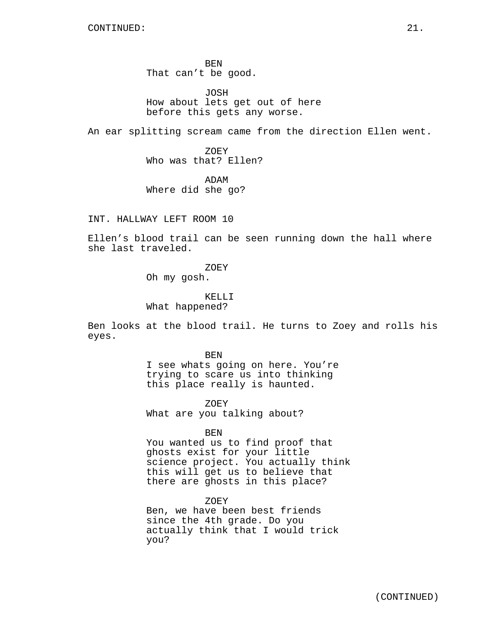BEN That can't be good.

JOSH How about lets get out of here before this gets any worse.

An ear splitting scream came from the direction Ellen went.

ZOEY Who was that? Ellen?

ADAM Where did she go?

INT. HALLWAY LEFT ROOM 10

Ellen's blood trail can be seen running down the hall where she last traveled.

> ZOEY Oh my gosh.

KELLI What happened?

Ben looks at the blood trail. He turns to Zoey and rolls his eyes.

> BEN I see whats going on here. You're trying to scare us into thinking this place really is haunted.

ZOEY What are you talking about?

BEN

You wanted us to find proof that ghosts exist for your little science project. You actually think this will get us to believe that there are ghosts in this place?

ZOEY Ben, we have been best friends since the 4th grade. Do you actually think that I would trick you?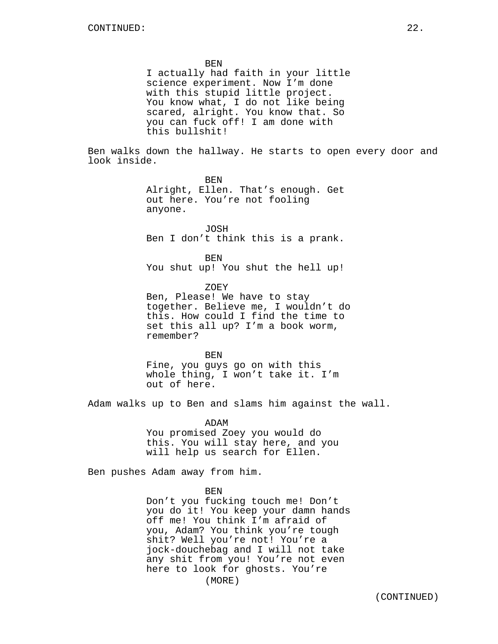BEN

I actually had faith in your little science experiment. Now I'm done with this stupid little project. You know what, I do not like being scared, alright. You know that. So you can fuck off! I am done with this bullshit!

Ben walks down the hallway. He starts to open every door and look inside.

> BEN Alright, Ellen. That's enough. Get out here. You're not fooling anyone.

JOSH Ben I don't think this is a prank.

BEN You shut up! You shut the hell up!

ZOEY Ben, Please! We have to stay together. Believe me, I wouldn't do this. How could I find the time to set this all up? I'm a book worm, remember?

**BEN** Fine, you guys go on with this whole thing, I won't take it. I'm out of here.

Adam walks up to Ben and slams him against the wall.

ADAM You promised Zoey you would do this. You will stay here, and you will help us search for Ellen.

Ben pushes Adam away from him.

BEN

Don't you fucking touch me! Don't you do it! You keep your damn hands off me! You think I'm afraid of you, Adam? You think you're tough shit? Well you're not! You're a jock-douchebag and I will not take any shit from you! You're not even here to look for ghosts. You're (MORE)

(CONTINUED)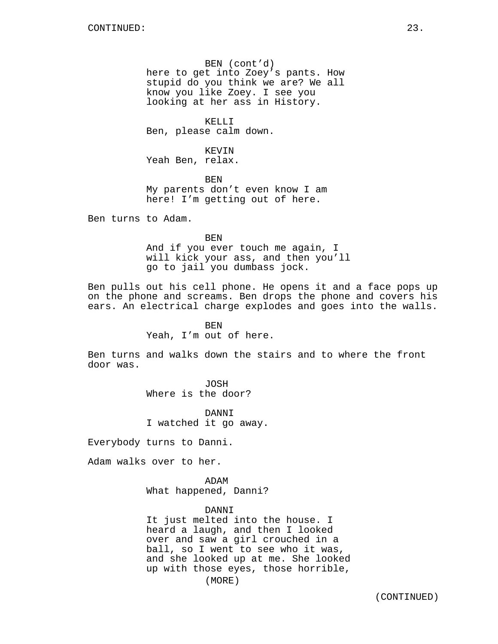BEN (cont'd) here to get into Zoey's pants. How stupid do you think we are? We all know you like Zoey. I see you looking at her ass in History.

KELLI Ben, please calm down.

KEVIN Yeah Ben, relax.

BEN My parents don't even know I am here! I'm getting out of here.

Ben turns to Adam.

BEN And if you ever touch me again, I will kick your ass, and then you'll go to jail you dumbass jock.

Ben pulls out his cell phone. He opens it and a face pops up on the phone and screams. Ben drops the phone and covers his ears. An electrical charge explodes and goes into the walls.

> BEN Yeah, I'm out of here.

Ben turns and walks down the stairs and to where the front door was.

> JOSH Where is the door?

DANNI I watched it go away.

Everybody turns to Danni.

Adam walks over to her.

ADAM What happened, Danni?

DANNI

It just melted into the house. I heard a laugh, and then I looked over and saw a girl crouched in a ball, so I went to see who it was, and she looked up at me. She looked up with those eyes, those horrible,

(MORE)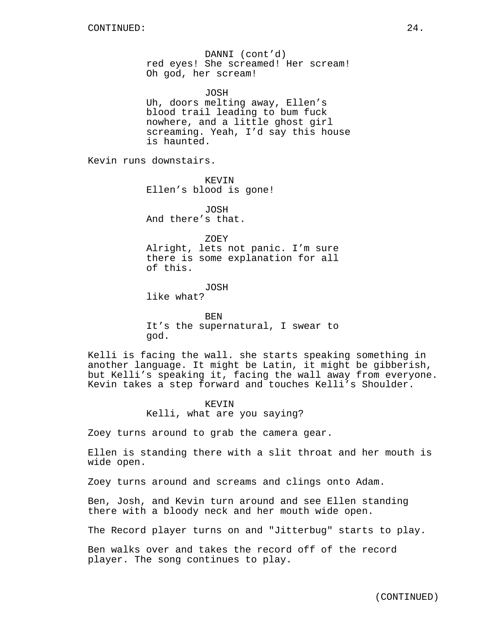DANNI (cont'd) red eyes! She screamed! Her scream! Oh god, her scream!

JOSH Uh, doors melting away, Ellen's blood trail leading to bum fuck nowhere, and a little ghost girl screaming. Yeah, I'd say this house is haunted.

Kevin runs downstairs.

KEVIN Ellen's blood is gone!

JOSH And there's that.

ZOEY Alright, lets not panic. I'm sure there is some explanation for all of this.

JOSH like what?

**BEN** It's the supernatural, I swear to god.

Kelli is facing the wall. she starts speaking something in another language. It might be Latin, it might be gibberish, but Kelli's speaking it, facing the wall away from everyone. Kevin takes a step forward and touches Kelli's Shoulder.

> KEVIN Kelli, what are you saying?

Zoey turns around to grab the camera gear.

Ellen is standing there with a slit throat and her mouth is wide open.

Zoey turns around and screams and clings onto Adam.

Ben, Josh, and Kevin turn around and see Ellen standing there with a bloody neck and her mouth wide open.

The Record player turns on and "Jitterbug" starts to play.

Ben walks over and takes the record off of the record player. The song continues to play.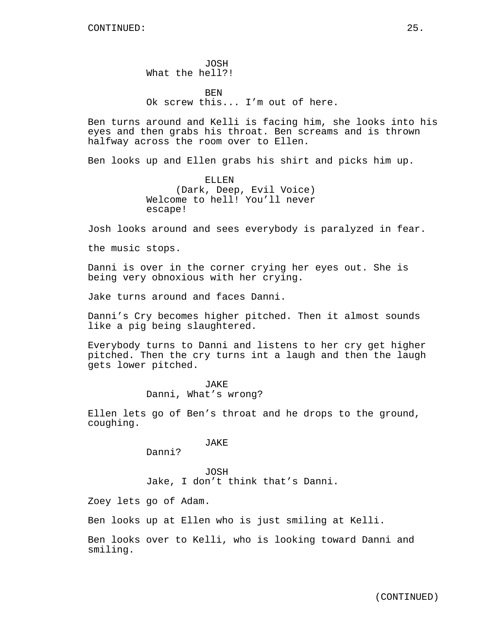JOSH What the hell?!

**BEN** Ok screw this... I'm out of here.

Ben turns around and Kelli is facing him, she looks into his eyes and then grabs his throat. Ben screams and is thrown halfway across the room over to Ellen.

Ben looks up and Ellen grabs his shirt and picks him up.

ELLEN (Dark, Deep, Evil Voice) Welcome to hell! You'll never escape!

Josh looks around and sees everybody is paralyzed in fear.

the music stops.

Danni is over in the corner crying her eyes out. She is being very obnoxious with her crying.

Jake turns around and faces Danni.

Danni's Cry becomes higher pitched. Then it almost sounds like a pig being slaughtered.

Everybody turns to Danni and listens to her cry get higher pitched. Then the cry turns int a laugh and then the laugh gets lower pitched.

> JAKE Danni, What's wrong?

Ellen lets go of Ben's throat and he drops to the ground, coughing.

JAKE

Danni?

JOSH Jake, I don't think that's Danni.

Zoey lets go of Adam.

Ben looks up at Ellen who is just smiling at Kelli.

Ben looks over to Kelli, who is looking toward Danni and smiling.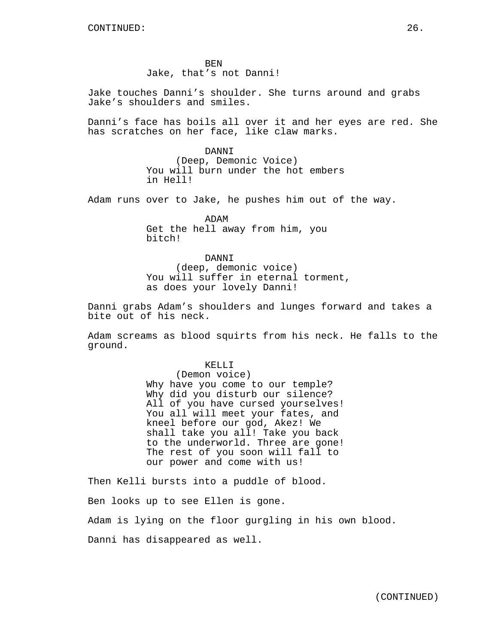**BEN** Jake, that's not Danni!

Jake touches Danni's shoulder. She turns around and grabs Jake's shoulders and smiles.

Danni's face has boils all over it and her eyes are red. She has scratches on her face, like claw marks.

> DANNI (Deep, Demonic Voice) You will burn under the hot embers in Hell!

Adam runs over to Jake, he pushes him out of the way.

ADAM Get the hell away from him, you bitch!

DANNI (deep, demonic voice) You will suffer in eternal torment, as does your lovely Danni!

Danni grabs Adam's shoulders and lunges forward and takes a bite out of his neck.

Adam screams as blood squirts from his neck. He falls to the ground.

### KELLI

(Demon voice) Why have you come to our temple? Why did you disturb our silence? All of you have cursed yourselves! You all will meet your fates, and kneel before our god, Akez! We shall take you all! Take you back to the underworld. Three are gone! The rest of you soon will fall to our power and come with us!

Then Kelli bursts into a puddle of blood. Ben looks up to see Ellen is gone. Adam is lying on the floor gurgling in his own blood. Danni has disappeared as well.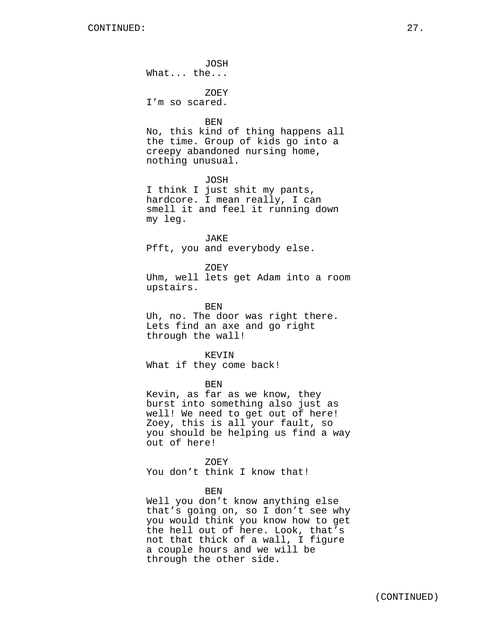JOSH What... the...

ZOEY I'm so scared.

BEN

No, this kind of thing happens all the time. Group of kids go into a creepy abandoned nursing home, nothing unusual.

JOSH

I think I just shit my pants, hardcore. I mean really, I can smell it and feel it running down my leg.

JAKE

Pfft, you and everybody else.

ZOEY

Uhm, well lets get Adam into a room upstairs.

BEN Uh, no. The door was right there. Lets find an axe and go right through the wall!

KEVIN What if they come back!

BEN

Kevin, as far as we know, they burst into something also just as well! We need to get out of here! Zoey, this is all your fault, so you should be helping us find a way out of here!

ZOEY You don't think I know that!

BEN

Well you don't know anything else that's going on, so I don't see why you would think you know how to get the hell out of here. Look, that's not that thick of a wall, I figure a couple hours and we will be through the other side.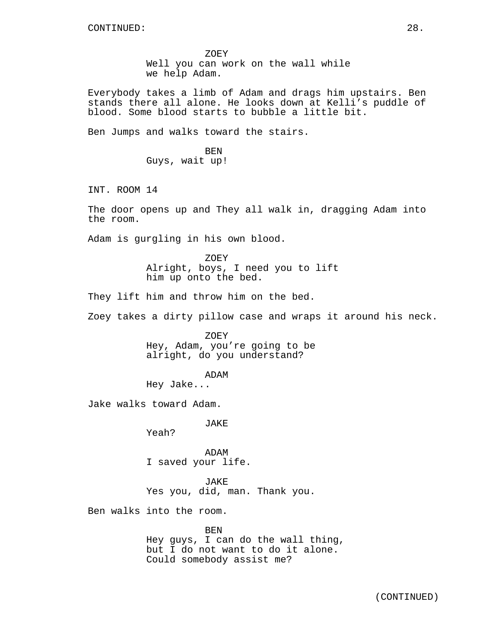ZOEY Well you can work on the wall while we help Adam.

Everybody takes a limb of Adam and drags him upstairs. Ben stands there all alone. He looks down at Kelli's puddle of blood. Some blood starts to bubble a little bit.

Ben Jumps and walks toward the stairs.

BEN Guys, wait up!

INT. ROOM 14

The door opens up and They all walk in, dragging Adam into the room.

Adam is gurgling in his own blood.

ZOEY Alright, boys, I need you to lift him up onto the bed.

They lift him and throw him on the bed.

Zoey takes a dirty pillow case and wraps it around his neck.

ZOEY Hey, Adam, you're going to be alright, do you understand?

ADAM

Hey Jake...

Jake walks toward Adam.

JAKE

Yeah?

ADAM I saved your life.

JAKE Yes you, did, man. Thank you.

Ben walks into the room.

BEN Hey guys, I can do the wall thing, but I do not want to do it alone. Could somebody assist me?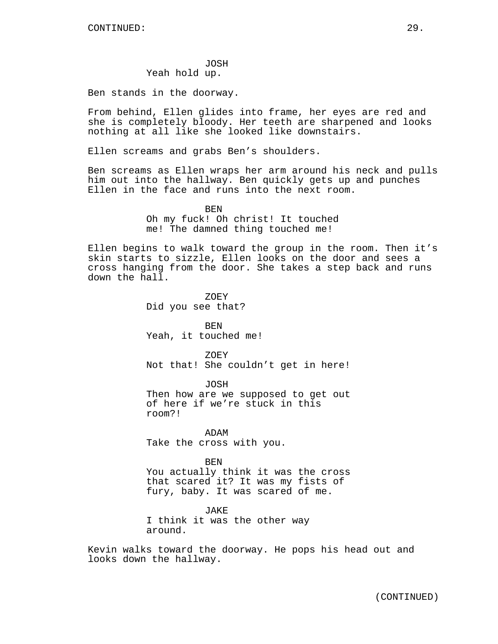### JOSH Yeah hold up.

Ben stands in the doorway.

From behind, Ellen glides into frame, her eyes are red and she is completely bloody. Her teeth are sharpened and looks nothing at all like she looked like downstairs.

Ellen screams and grabs Ben's shoulders.

Ben screams as Ellen wraps her arm around his neck and pulls him out into the hallway. Ben quickly gets up and punches Ellen in the face and runs into the next room.

> BEN Oh my fuck! Oh christ! It touched me! The damned thing touched me!

Ellen begins to walk toward the group in the room. Then it's skin starts to sizzle, Ellen looks on the door and sees a cross hanging from the door. She takes a step back and runs down the hall.

> ZOEY Did you see that?

BEN Yeah, it touched me!

ZOEY Not that! She couldn't get in here!

JOSH Then how are we supposed to get out of here if we're stuck in this room?!

ADAM Take the cross with you.

BEN You actually think it was the cross that scared it? It was my fists of fury, baby. It was scared of me.

JAKE I think it was the other way around.

Kevin walks toward the doorway. He pops his head out and looks down the hallway.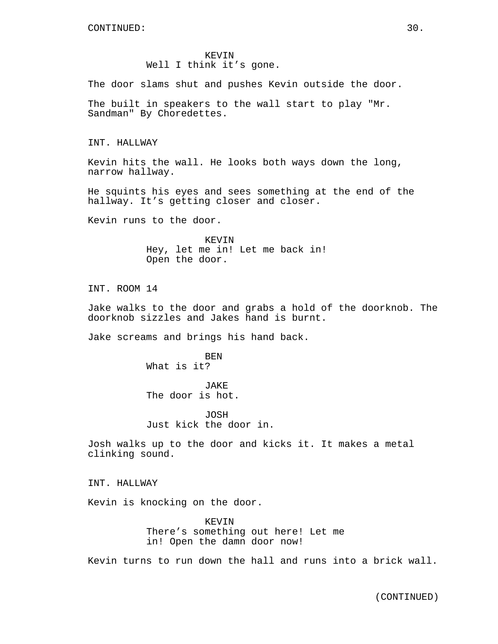KEVIN Well I think it's gone.

The door slams shut and pushes Kevin outside the door.

The built in speakers to the wall start to play "Mr. Sandman" By Choredettes.

INT. HALLWAY

Kevin hits the wall. He looks both ways down the long, narrow hallway.

He squints his eyes and sees something at the end of the hallway. It's getting closer and closer.

Kevin runs to the door.

KEVIN Hey, let me in! Let me back in! Open the door.

INT. ROOM 14

Jake walks to the door and grabs a hold of the doorknob. The doorknob sizzles and Jakes hand is burnt.

Jake screams and brings his hand back.

BEN What is it?

JAKE The door is hot.

JOSH Just kick the door in.

Josh walks up to the door and kicks it. It makes a metal clinking sound.

INT. HALLWAY

Kevin is knocking on the door.

KEVIN There's something out here! Let me in! Open the damn door now!

Kevin turns to run down the hall and runs into a brick wall.

(CONTINUED)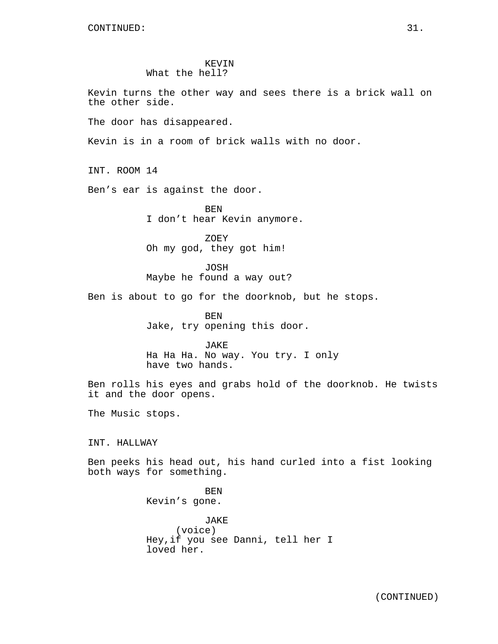## KEVIN What the hell?

Kevin turns the other way and sees there is a brick wall on the other side. The door has disappeared. Kevin is in a room of brick walls with no door. INT. ROOM 14 Ben's ear is against the door. BEN I don't hear Kevin anymore. ZOEY Oh my god, they got him! JOSH Maybe he found a way out? Ben is about to go for the doorknob, but he stops. BEN Jake, try opening this door. JAKE Ha Ha Ha. No way. You try. I only have two hands. Ben rolls his eyes and grabs hold of the doorknob. He twists it and the door opens. The Music stops. INT. HALLWAY Ben peeks his head out, his hand curled into a fist looking both ways for something. BEN Kevin's gone. JAKE (voice) Hey,if you see Danni, tell her I loved her.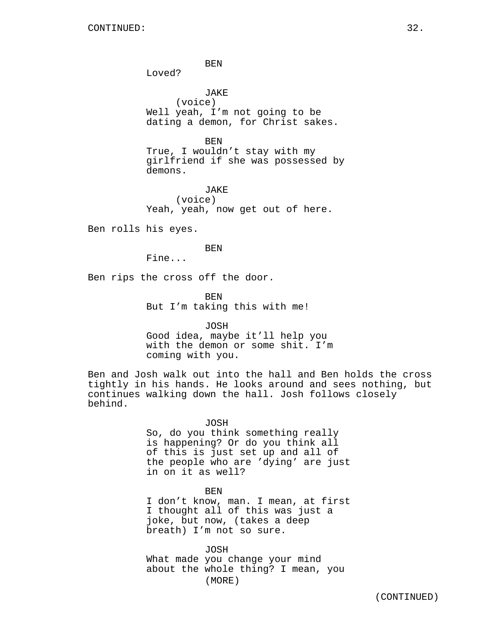BEN

Loved?

JAKE (voice) Well yeah, I'm not going to be dating a demon, for Christ sakes.

BEN True, I wouldn't stay with my girlfriend if she was possessed by demons.

JAKE (voice) Yeah, yeah, now get out of here.

Ben rolls his eyes.

BEN

Fine...

Ben rips the cross off the door.

BEN But I'm taking this with me!

JOSH Good idea, maybe it'll help you with the demon or some shit. I'm coming with you.

Ben and Josh walk out into the hall and Ben holds the cross tightly in his hands. He looks around and sees nothing, but continues walking down the hall. Josh follows closely behind.

> JOSH So, do you think something really is happening? Or do you think all of this is just set up and all of the people who are 'dying' are just in on it as well?

> BEN I don't know, man. I mean, at first I thought all of this was just a joke, but now, (takes a deep breath) I'm not so sure.

JOSH What made you change your mind about the whole thing? I mean, you (MORE)

(CONTINUED)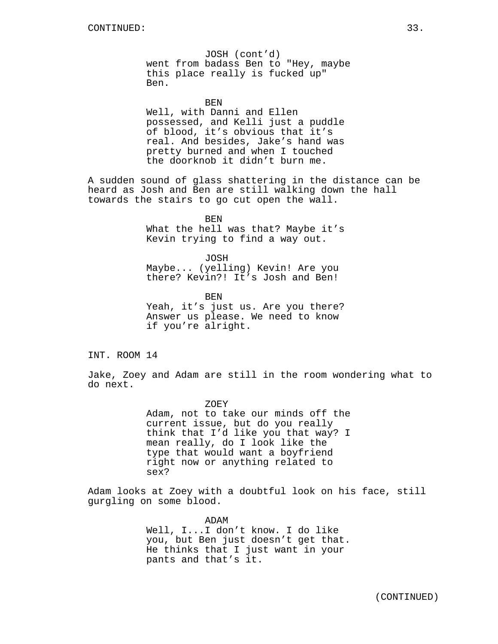JOSH (cont'd) went from badass Ben to "Hey, maybe this place really is fucked up" Ben.

BEN

Well, with Danni and Ellen possessed, and Kelli just a puddle of blood, it's obvious that it's real. And besides, Jake's hand was pretty burned and when I touched the doorknob it didn't burn me.

A sudden sound of glass shattering in the distance can be heard as Josh and Ben are still walking down the hall towards the stairs to go cut open the wall.

> BEN What the hell was that? Maybe it's Kevin trying to find a way out.

JOSH Maybe... (yelling) Kevin! Are you there? Kevin?! It's Josh and Ben!

**BEN** Yeah, it's just us. Are you there? Answer us please. We need to know if you're alright.

INT. ROOM 14

Jake, Zoey and Adam are still in the room wondering what to do next.

> ZOEY Adam, not to take our minds off the current issue, but do you really think that I'd like you that way? I mean really, do I look like the type that would want a boyfriend right now or anything related to sex?

Adam looks at Zoey with a doubtful look on his face, still gurgling on some blood.

> ADAM Well, I...I don't know. I do like you, but Ben just doesn't get that. He thinks that I just want in your pants and that's it.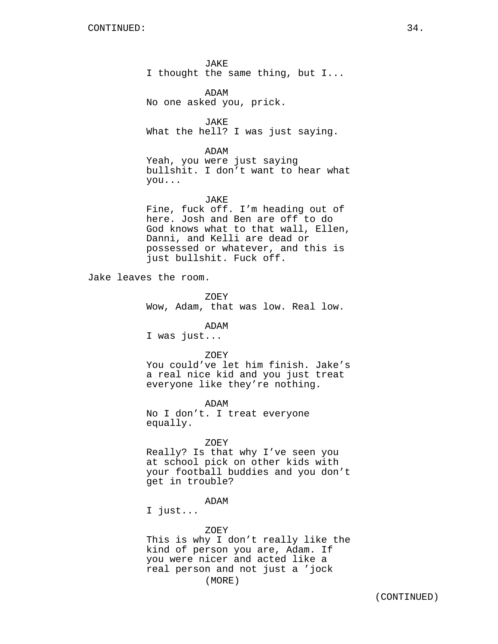JAKE I thought the same thing, but I...

ADAM No one asked you, prick.

JAKE What the hell? I was just saying.

ADAM

Yeah, you were just saying bullshit. I don't want to hear what you...

#### JAKE

Fine, fuck off. I'm heading out of here. Josh and Ben are off to do God knows what to that wall, Ellen, Danni, and Kelli are dead or possessed or whatever, and this is just bullshit. Fuck off.

Jake leaves the room.

ZOEY Wow, Adam, that was low. Real low.

ADAM

I was just...

#### ZOEY

You could've let him finish. Jake's a real nice kid and you just treat everyone like they're nothing.

ADAM No I don't. I treat everyone equally.

### ZOEY

Really? Is that why I've seen you at school pick on other kids with your football buddies and you don't get in trouble?

### ADAM

I just...

ZOEY This is why I don't really like the kind of person you are, Adam. If you were nicer and acted like a real person and not just a 'jock (MORE)

(CONTINUED)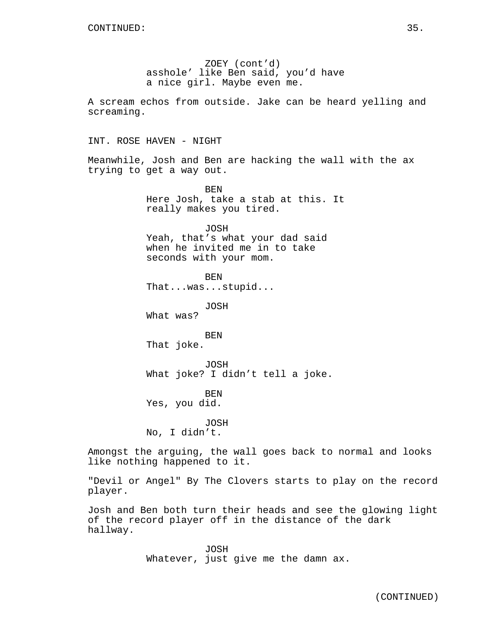ZOEY (cont'd) asshole' like Ben said, you'd have a nice girl. Maybe even me. A scream echos from outside. Jake can be heard yelling and screaming. INT. ROSE HAVEN - NIGHT Meanwhile, Josh and Ben are hacking the wall with the ax trying to get a way out. BEN Here Josh, take a stab at this. It really makes you tired. JOSH Yeah, that's what your dad said when he invited me in to take seconds with your mom. BEN That...was...stupid... JOSH What was? BEN That joke. JOSH What joke? I didn't tell a joke. BEN Yes, you did. JOSH No, I didn't. Amongst the arguing, the wall goes back to normal and looks like nothing happened to it. "Devil or Angel" By The Clovers starts to play on the record

player.

Josh and Ben both turn their heads and see the glowing light of the record player off in the distance of the dark hallway.

> JOSH Whatever, just give me the damn ax.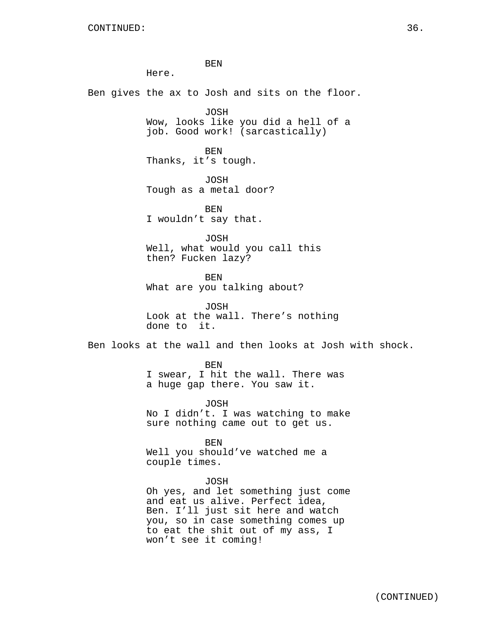BEN Here. Ben gives the ax to Josh and sits on the floor. JOSH Wow, looks like you did a hell of a job. Good work! (sarcastically) BEN Thanks, it's tough. JOSH Tough as a metal door? BEN I wouldn't say that. JOSH Well, what would you call this then? Fucken lazy? BEN What are you talking about? JOSH Look at the wall. There's nothing done to it. Ben looks at the wall and then looks at Josh with shock. BEN I swear, I hit the wall. There was a huge gap there. You saw it. JOSH No I didn't. I was watching to make sure nothing came out to get us. BEN Well you should've watched me a couple times. JOSH Oh yes, and let something just come and eat us alive. Perfect idea, Ben. I'll just sit here and watch you, so in case something comes up to eat the shit out of my ass, I won't see it coming!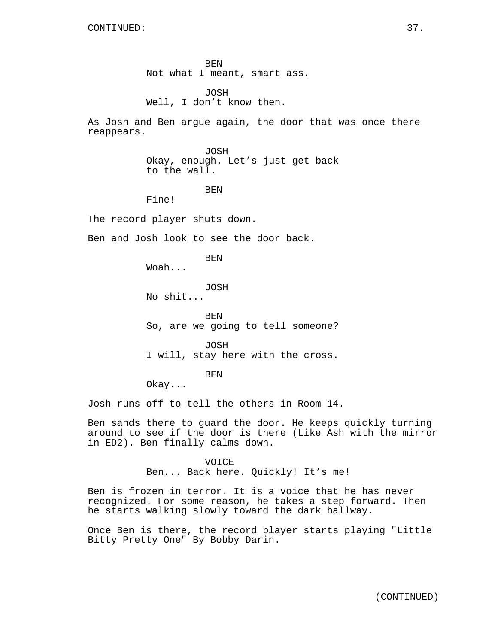BEN Not what I meant, smart ass.

JOSH Well, I don't know then.

As Josh and Ben argue again, the door that was once there reappears.

> JOSH Okay, enough. Let's just get back to the wall.

### BEN

Fine!

The record player shuts down.

Ben and Josh look to see the door back.

BEN

Woah...

JOSH

No shit...

BEN So, are we going to tell someone?

JOSH I will, stay here with the cross.

BEN

Okay...

Josh runs off to tell the others in Room 14.

Ben sands there to guard the door. He keeps quickly turning around to see if the door is there (Like Ash with the mirror in ED2). Ben finally calms down.

> VOICE Ben... Back here. Quickly! It's me!

Ben is frozen in terror. It is a voice that he has never recognized. For some reason, he takes a step forward. Then he starts walking slowly toward the dark hallway.

Once Ben is there, the record player starts playing "Little Bitty Pretty One" By Bobby Darin.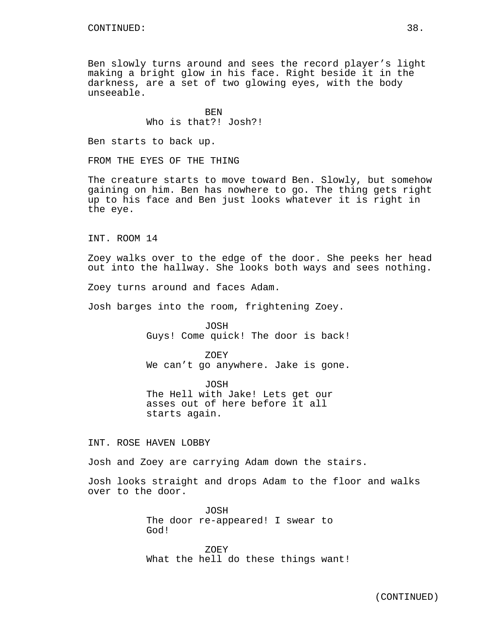Ben slowly turns around and sees the record player's light making a bright glow in his face. Right beside it in the darkness, are a set of two glowing eyes, with the body unseeable.

> **BEN** Who is that?! Josh?!

Ben starts to back up.

FROM THE EYES OF THE THING

The creature starts to move toward Ben. Slowly, but somehow gaining on him. Ben has nowhere to go. The thing gets right up to his face and Ben just looks whatever it is right in the eye.

INT. ROOM 14

Zoey walks over to the edge of the door. She peeks her head out into the hallway. She looks both ways and sees nothing.

Zoey turns around and faces Adam.

Josh barges into the room, frightening Zoey.

JOSH Guys! Come quick! The door is back!

ZOEY We can't go anywhere. Jake is gone.

JOSH The Hell with Jake! Lets get our asses out of here before it all starts again.

INT. ROSE HAVEN LOBBY

Josh and Zoey are carrying Adam down the stairs.

Josh looks straight and drops Adam to the floor and walks over to the door.

> JOSH The door re-appeared! I swear to God!

ZOEY What the hell do these things want!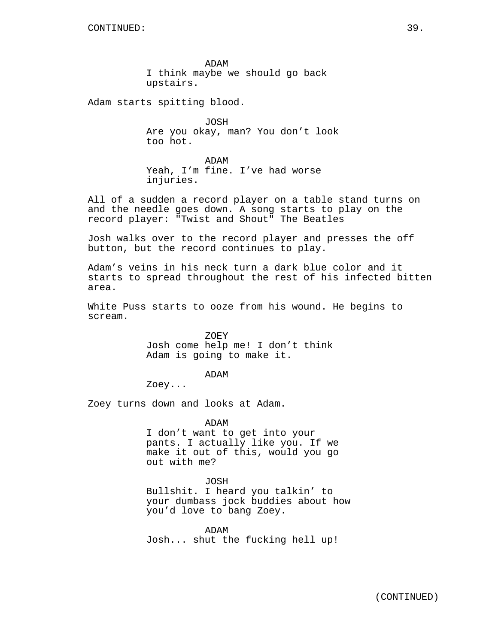ADAM I think maybe we should go back upstairs.

Adam starts spitting blood.

JOSH Are you okay, man? You don't look too hot.

ADAM Yeah, I'm fine. I've had worse injuries.

All of a sudden a record player on a table stand turns on and the needle goes down. A song starts to play on the record player: "Twist and Shout" The Beatles

Josh walks over to the record player and presses the off button, but the record continues to play.

Adam's veins in his neck turn a dark blue color and it starts to spread throughout the rest of his infected bitten area.

White Puss starts to ooze from his wound. He begins to scream.

> ZOEY Josh come help me! I don't think Adam is going to make it.

> > ADAM

Zoey...

Zoey turns down and looks at Adam.

ADAM I don't want to get into your pants. I actually like you. If we make it out of this, would you go out with me?

JOSH

Bullshit. I heard you talkin' to your dumbass jock buddies about how you'd love to bang Zoey.

ADAM Josh... shut the fucking hell up!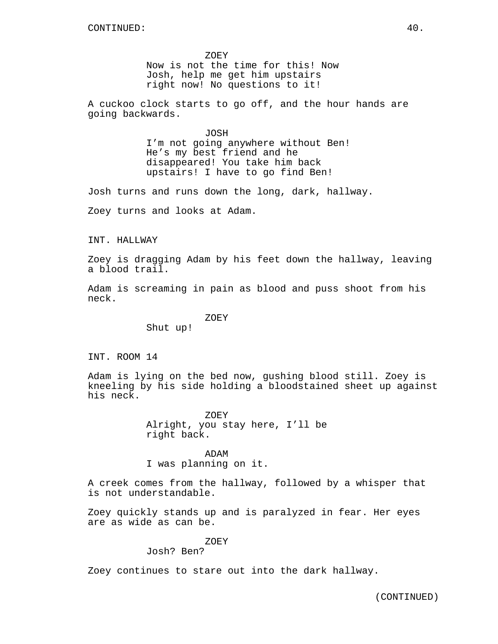ZOEY Now is not the time for this! Now Josh, help me get him upstairs right now! No questions to it!

A cuckoo clock starts to go off, and the hour hands are going backwards.

> JOSH I'm not going anywhere without Ben! He's my best friend and he disappeared! You take him back upstairs! I have to go find Ben!

Josh turns and runs down the long, dark, hallway.

Zoey turns and looks at Adam.

INT. HALLWAY

Zoey is dragging Adam by his feet down the hallway, leaving a blood trail.

Adam is screaming in pain as blood and puss shoot from his neck.

ZOEY

Shut up!

INT. ROOM 14

Adam is lying on the bed now, gushing blood still. Zoey is kneeling by his side holding a bloodstained sheet up against his neck.

> ZOEY Alright, you stay here, I'll be right back.

ADAM I was planning on it.

A creek comes from the hallway, followed by a whisper that is not understandable.

Zoey quickly stands up and is paralyzed in fear. Her eyes are as wide as can be.

# ZOEY

Josh? Ben?

Zoey continues to stare out into the dark hallway.

(CONTINUED)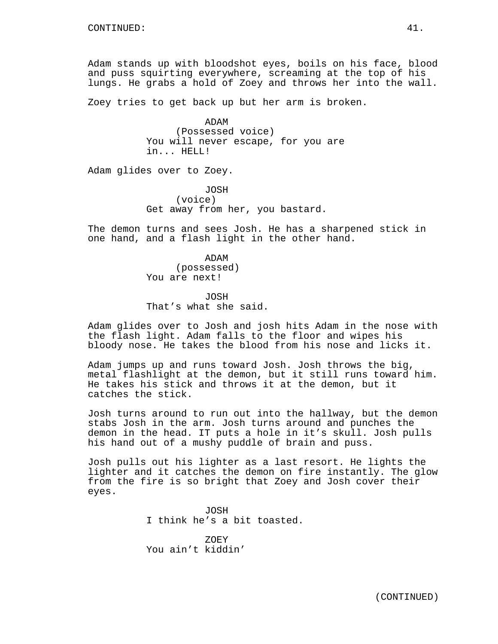Adam stands up with bloodshot eyes, boils on his face, blood and puss squirting everywhere, screaming at the top of his lungs. He grabs a hold of Zoey and throws her into the wall.

Zoey tries to get back up but her arm is broken.

ADAM (Possessed voice) You will never escape, for you are in... HELL!

Adam glides over to Zoey.

JOSH (voice) Get away from her, you bastard.

The demon turns and sees Josh. He has a sharpened stick in one hand, and a flash light in the other hand.

> ADAM (possessed) You are next!

JOSH That's what she said.

Adam glides over to Josh and josh hits Adam in the nose with the flash light. Adam falls to the floor and wipes his bloody nose. He takes the blood from his nose and licks it.

Adam jumps up and runs toward Josh. Josh throws the big, metal flashlight at the demon, but it still runs toward him. He takes his stick and throws it at the demon, but it catches the stick.

Josh turns around to run out into the hallway, but the demon stabs Josh in the arm. Josh turns around and punches the demon in the head. IT puts a hole in it's skull. Josh pulls his hand out of a mushy puddle of brain and puss.

Josh pulls out his lighter as a last resort. He lights the lighter and it catches the demon on fire instantly. The glow from the fire is so bright that Zoey and Josh cover their eyes.

> JOSH I think he's a bit toasted.

ZOEY You ain't kiddin'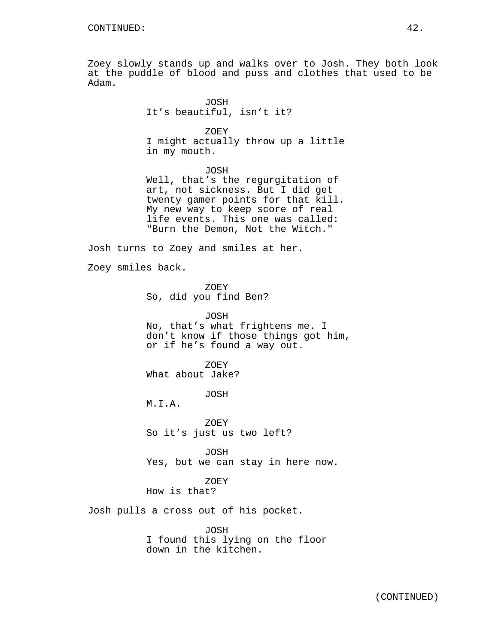Zoey slowly stands up and walks over to Josh. They both look at the puddle of blood and puss and clothes that used to be Adam.

ZOEY I might actually throw up a little in my mouth.

JOSH

Well, that's the regurgitation of art, not sickness. But I did get twenty gamer points for that kill. My new way to keep score of real life events. This one was called: "Burn the Demon, Not the Witch."

Josh turns to Zoey and smiles at her.

Zoey smiles back.

ZOEY So, did you find Ben?

JOSH No, that's what frightens me. I don't know if those things got him, or if he's found a way out.

ZOEY What about Jake?

JOSH

M.I.A.

ZOEY So it's just us two left?

JOSH Yes, but we can stay in here now.

ZOEY How is that?

Josh pulls a cross out of his pocket.

JOSH I found this lying on the floor down in the kitchen.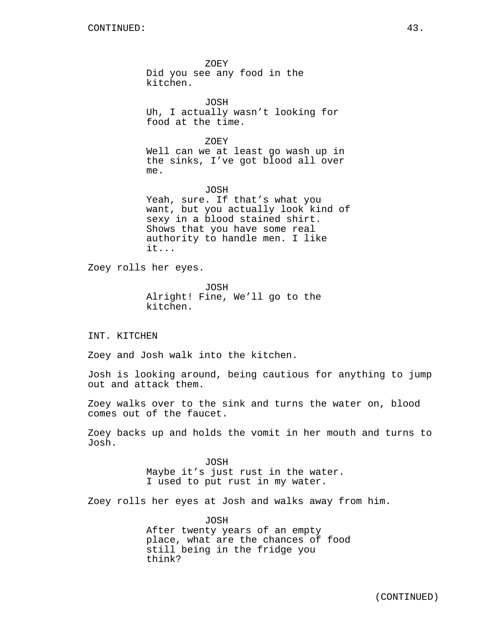ZOEY Did you see any food in the kitchen. JOSH Uh, I actually wasn't looking for food at the time. ZOEY Well can we at least go wash up in the sinks, I've got blood all over me. JOSH Yeah, sure. If that's what you want, but you actually look kind of sexy in a blood stained shirt. Shows that you have some real authority to handle men. I like it... Zoey rolls her eyes.

JOSH Alright! Fine, We'll go to the kitchen.

INT. KITCHEN

Zoey and Josh walk into the kitchen.

Josh is looking around, being cautious for anything to jump out and attack them.

Zoey walks over to the sink and turns the water on, blood comes out of the faucet.

Zoey backs up and holds the vomit in her mouth and turns to Josh.

> JOSH Maybe it's just rust in the water. I used to put rust in my water.

Zoey rolls her eyes at Josh and walks away from him.

JOSH After twenty years of an empty place, what are the chances of food still being in the fridge you think?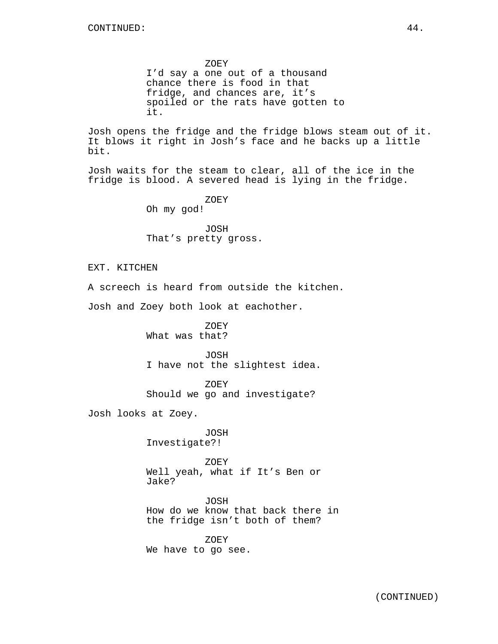ZOEY I'd say a one out of a thousand chance there is food in that fridge, and chances are, it's spoiled or the rats have gotten to it.

Josh opens the fridge and the fridge blows steam out of it. It blows it right in Josh's face and he backs up a little bit.

Josh waits for the steam to clear, all of the ice in the fridge is blood. A severed head is lying in the fridge.

ZOEY

Oh my god!

JOSH That's pretty gross.

EXT. KITCHEN

A screech is heard from outside the kitchen.

Josh and Zoey both look at eachother.

ZOEY What was that?

JOSH I have not the slightest idea.

ZOEY Should we go and investigate?

Josh looks at Zoey.

JOSH Investigate?!

ZOEY Well yeah, what if It's Ben or Jake?

JOSH How do we know that back there in the fridge isn't both of them?

ZOEY We have to go see.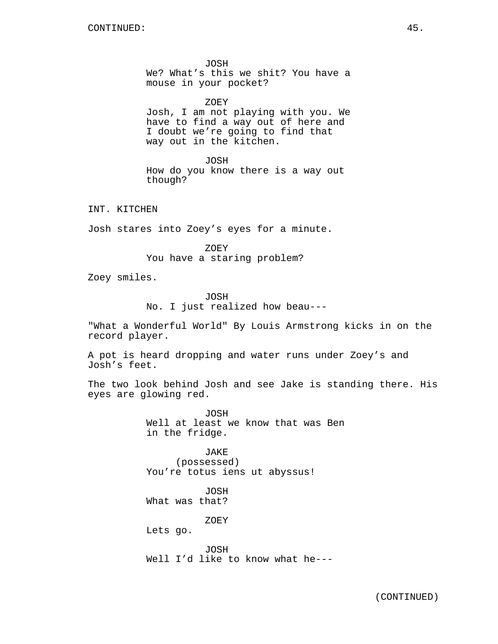JOSH We? What's this we shit? You have a mouse in your pocket?

ZOEY

Josh, I am not playing with you. We have to find a way out of here and I doubt we're going to find that way out in the kitchen.

JOSH How do you know there is a way out though?

INT. KITCHEN

Josh stares into Zoey's eyes for a minute.

ZOEY You have a staring problem?

Zoey smiles.

JOSH No. I just realized how beau---

"What a Wonderful World" By Louis Armstrong kicks in on the record player.

A pot is heard dropping and water runs under Zoey's and Josh's feet.

The two look behind Josh and see Jake is standing there. His eyes are glowing red.

> JOSH Well at least we know that was Ben in the fridge.

JAKE (possessed) You're totus iens ut abyssus!

JOSH What was that?

ZOEY

Lets go.

JOSH Well I'd like to know what he---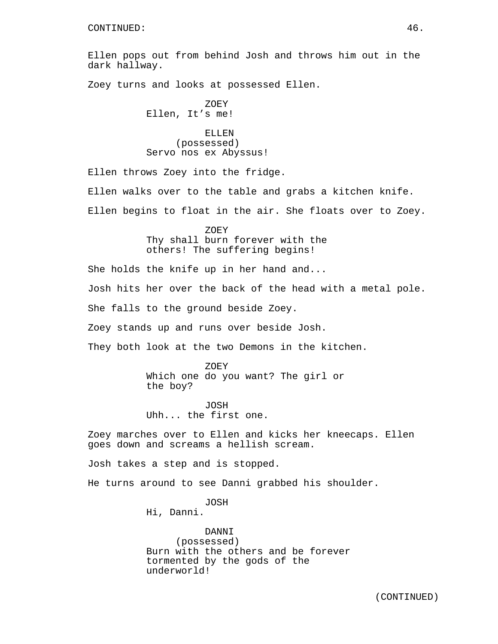Ellen pops out from behind Josh and throws him out in the dark hallway.

Zoey turns and looks at possessed Ellen.

ZOEY Ellen, It's me!

ELLEN (possessed) Servo nos ex Abyssus!

Ellen throws Zoey into the fridge.

Ellen walks over to the table and grabs a kitchen knife.

Ellen begins to float in the air. She floats over to Zoey.

ZOEY Thy shall burn forever with the others! The suffering begins!

She holds the knife up in her hand and... Josh hits her over the back of the head with a metal pole. She falls to the ground beside Zoey. Zoey stands up and runs over beside Josh. They both look at the two Demons in the kitchen.

> ZOEY Which one do you want? The girl or the boy?

JOSH Uhh... the first one.

Zoey marches over to Ellen and kicks her kneecaps. Ellen goes down and screams a hellish scream.

Josh takes a step and is stopped.

He turns around to see Danni grabbed his shoulder.

JOSH

Hi, Danni.

DANNI (possessed) Burn with the others and be forever tormented by the gods of the underworld!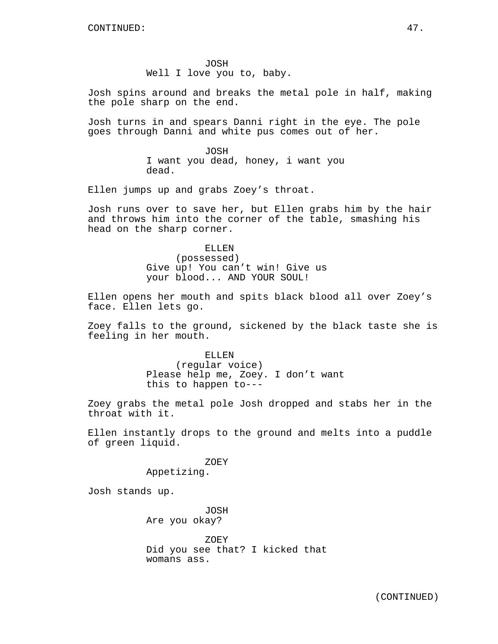JOSH Well I love you to, baby.

Josh spins around and breaks the metal pole in half, making the pole sharp on the end.

Josh turns in and spears Danni right in the eye. The pole goes through Danni and white pus comes out of her.

> JOSH I want you dead, honey, i want you dead.

Ellen jumps up and grabs Zoey's throat.

Josh runs over to save her, but Ellen grabs him by the hair and throws him into the corner of the table, smashing his head on the sharp corner.

> ELLEN (possessed) Give up! You can't win! Give us your blood... AND YOUR SOUL!

Ellen opens her mouth and spits black blood all over Zoey's face. Ellen lets go.

Zoey falls to the ground, sickened by the black taste she is feeling in her mouth.

> ELLEN (regular voice) Please help me, Zoey. I don't want this to happen to---

Zoey grabs the metal pole Josh dropped and stabs her in the throat with it.

Ellen instantly drops to the ground and melts into a puddle of green liquid.

> ZOEY Appetizing.

Josh stands up.

JOSH Are you okay?

ZOEY Did you see that? I kicked that womans ass.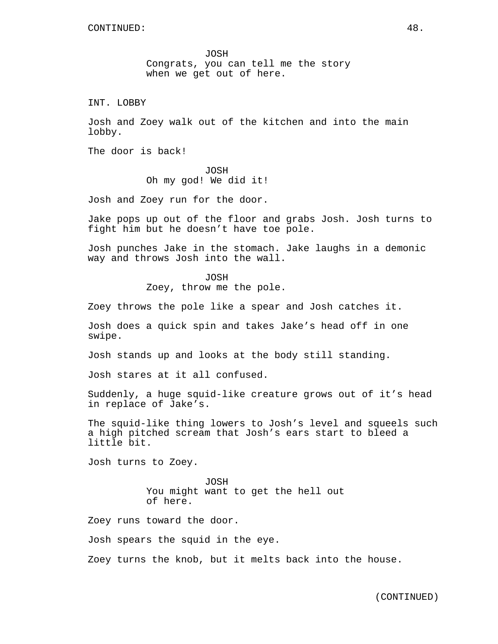JOSH Congrats, you can tell me the story when we get out of here.

INT. LOBBY

Josh and Zoey walk out of the kitchen and into the main lobby.

The door is back!

JOSH Oh my god! We did it!

Josh and Zoey run for the door.

Jake pops up out of the floor and grabs Josh. Josh turns to fight him but he doesn't have toe pole.

Josh punches Jake in the stomach. Jake laughs in a demonic way and throws Josh into the wall.

JOSH

Zoey, throw me the pole.

Zoey throws the pole like a spear and Josh catches it.

Josh does a quick spin and takes Jake's head off in one swipe.

Josh stands up and looks at the body still standing.

Josh stares at it all confused.

Suddenly, a huge squid-like creature grows out of it's head in replace of Jake's.

The squid-like thing lowers to Josh's level and squeels such a high pitched scream that Josh's ears start to bleed a little bit.

Josh turns to Zoey.

JOSH You might want to get the hell out of here.

Zoey runs toward the door.

Josh spears the squid in the eye.

Zoey turns the knob, but it melts back into the house.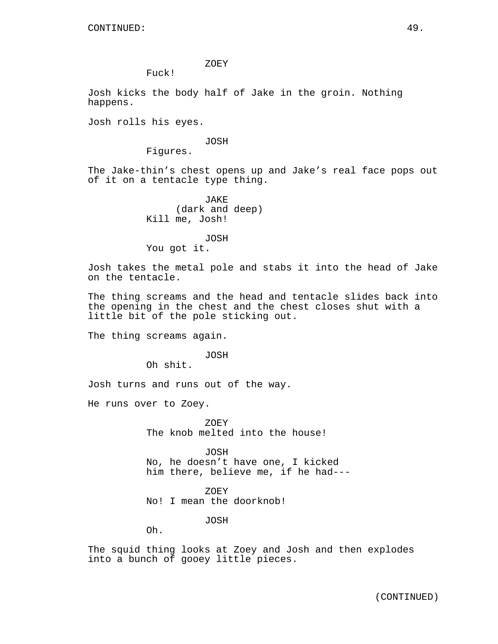ZOEY

Fuck!

Josh kicks the body half of Jake in the groin. Nothing happens.

Josh rolls his eyes.

#### JOSH

Figures.

The Jake-thin's chest opens up and Jake's real face pops out of it on a tentacle type thing.

> JAKE (dark and deep) Kill me, Josh!

JOSH You got it.

Josh takes the metal pole and stabs it into the head of Jake on the tentacle.

The thing screams and the head and tentacle slides back into the opening in the chest and the chest closes shut with a little bit of the pole sticking out.

The thing screams again.

#### JOSH

Oh shit.

Josh turns and runs out of the way.

He runs over to Zoey.

ZOEY The knob melted into the house!

JOSH No, he doesn't have one, I kicked him there, believe me, if he had---

ZOEY No! I mean the doorknob!

JOSH

Oh.

The squid thing looks at Zoey and Josh and then explodes into a bunch of gooey little pieces.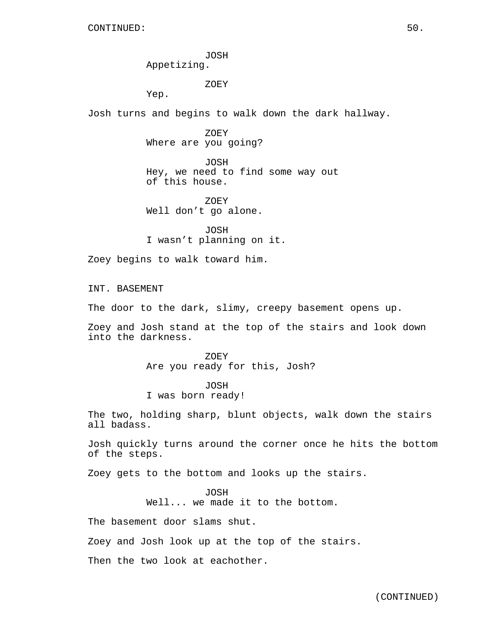JOSH Appetizing.

ZOEY

Yep.

Josh turns and begins to walk down the dark hallway.

ZOEY Where are you going?

JOSH Hey, we need to find some way out of this house.

ZOEY Well don't go alone.

JOSH I wasn't planning on it.

Zoey begins to walk toward him.

INT. BASEMENT

The door to the dark, slimy, creepy basement opens up.

Zoey and Josh stand at the top of the stairs and look down into the darkness.

> ZOEY Are you ready for this, Josh?

JOSH I was born ready!

The two, holding sharp, blunt objects, walk down the stairs all badass.

Josh quickly turns around the corner once he hits the bottom of the steps.

Zoey gets to the bottom and looks up the stairs.

JOSH

Well... we made it to the bottom.

The basement door slams shut.

Zoey and Josh look up at the top of the stairs.

Then the two look at eachother.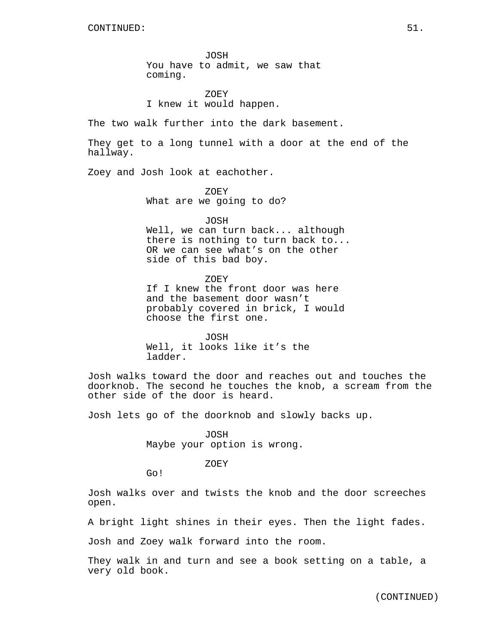JOSH You have to admit, we saw that coming.

ZOEY I knew it would happen.

The two walk further into the dark basement.

They get to a long tunnel with a door at the end of the hallway.

Zoey and Josh look at eachother.

ZOEY What are we going to do?

JOSH

Well, we can turn back... although there is nothing to turn back to... OR we can see what's on the other side of this bad boy.

ZOEY If I knew the front door was here and the basement door wasn't probably covered in brick, I would choose the first one.

JOSH Well, it looks like it's the ladder.

Josh walks toward the door and reaches out and touches the doorknob. The second he touches the knob, a scream from the other side of the door is heard.

Josh lets go of the doorknob and slowly backs up.

JOSH Maybe your option is wrong.

ZOEY

Go!

Josh walks over and twists the knob and the door screeches open.

A bright light shines in their eyes. Then the light fades.

Josh and Zoey walk forward into the room.

They walk in and turn and see a book setting on a table, a very old book.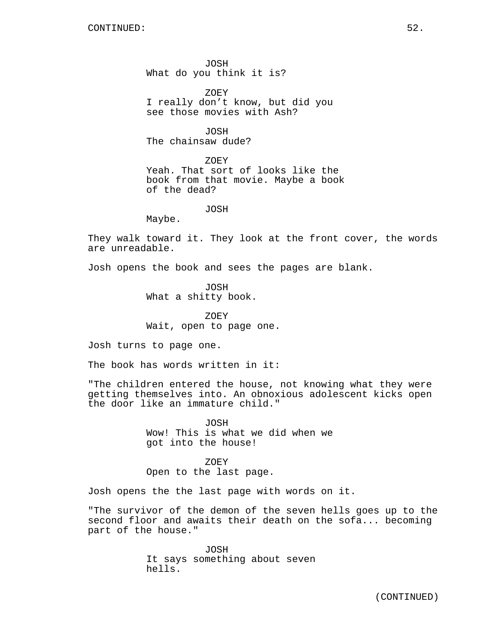JOSH What do you think it is?

ZOEY I really don't know, but did you see those movies with Ash?

JOSH The chainsaw dude?

ZOEY Yeah. That sort of looks like the book from that movie. Maybe a book of the dead?

JOSH

Maybe.

They walk toward it. They look at the front cover, the words are unreadable.

Josh opens the book and sees the pages are blank.

JOSH What a shitty book.

ZOEY Wait, open to page one.

Josh turns to page one.

The book has words written in it:

"The children entered the house, not knowing what they were getting themselves into. An obnoxious adolescent kicks open the door like an immature child."

> JOSH Wow! This is what we did when we got into the house!

ZOEY Open to the last page.

Josh opens the the last page with words on it.

"The survivor of the demon of the seven hells goes up to the second floor and awaits their death on the sofa... becoming part of the house."

> JOSH It says something about seven hells.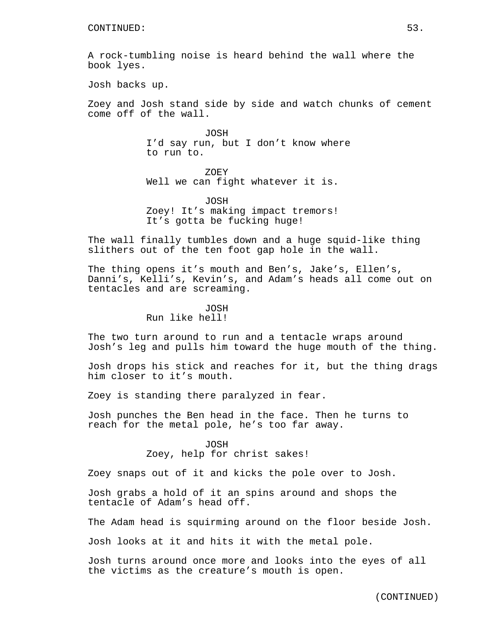A rock-tumbling noise is heard behind the wall where the book lyes.

Josh backs up.

Zoey and Josh stand side by side and watch chunks of cement come off of the wall.

> JOSH I'd say run, but I don't know where to run to.

ZOEY Well we can fight whatever it is.

JOSH Zoey! It's making impact tremors! It's gotta be fucking huge!

The wall finally tumbles down and a huge squid-like thing slithers out of the ten foot gap hole in the wall.

The thing opens it's mouth and Ben's, Jake's, Ellen's, Danni's, Kelli's, Kevin's, and Adam's heads all come out on tentacles and are screaming.

> JOSH Run like hell!

The two turn around to run and a tentacle wraps around Josh's leg and pulls him toward the huge mouth of the thing.

Josh drops his stick and reaches for it, but the thing drags him closer to it's mouth.

Zoey is standing there paralyzed in fear.

Josh punches the Ben head in the face. Then he turns to reach for the metal pole, he's too far away.

> JOSH Zoey, help for christ sakes!

Zoey snaps out of it and kicks the pole over to Josh.

Josh grabs a hold of it an spins around and shops the tentacle of Adam's head off.

The Adam head is squirming around on the floor beside Josh.

Josh looks at it and hits it with the metal pole.

Josh turns around once more and looks into the eyes of all the victims as the creature's mouth is open.

(CONTINUED)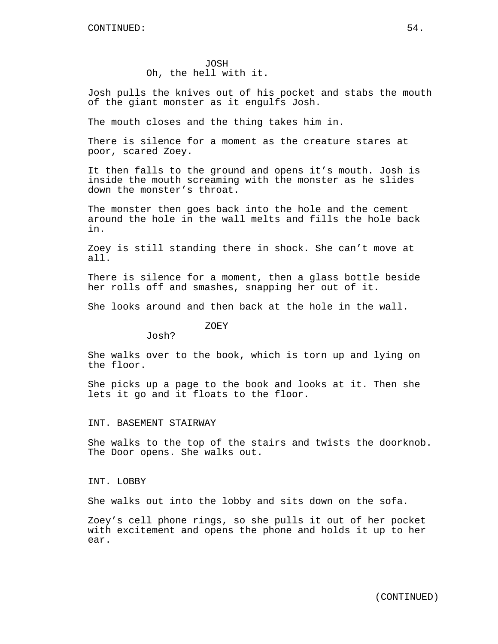JOSH Oh, the hell with it.

Josh pulls the knives out of his pocket and stabs the mouth of the giant monster as it engulfs Josh.

The mouth closes and the thing takes him in.

There is silence for a moment as the creature stares at poor, scared Zoey.

It then falls to the ground and opens it's mouth. Josh is inside the mouth screaming with the monster as he slides down the monster's throat.

The monster then goes back into the hole and the cement around the hole in the wall melts and fills the hole back in.

Zoey is still standing there in shock. She can't move at all.

There is silence for a moment, then a glass bottle beside her rolls off and smashes, snapping her out of it.

She looks around and then back at the hole in the wall.

ZOEY

Josh?

She walks over to the book, which is torn up and lying on the floor.

She picks up a page to the book and looks at it. Then she lets it go and it floats to the floor.

#### INT. BASEMENT STAIRWAY

She walks to the top of the stairs and twists the doorknob. The Door opens. She walks out.

#### INT. LOBBY

She walks out into the lobby and sits down on the sofa.

Zoey's cell phone rings, so she pulls it out of her pocket with excitement and opens the phone and holds it up to her ear.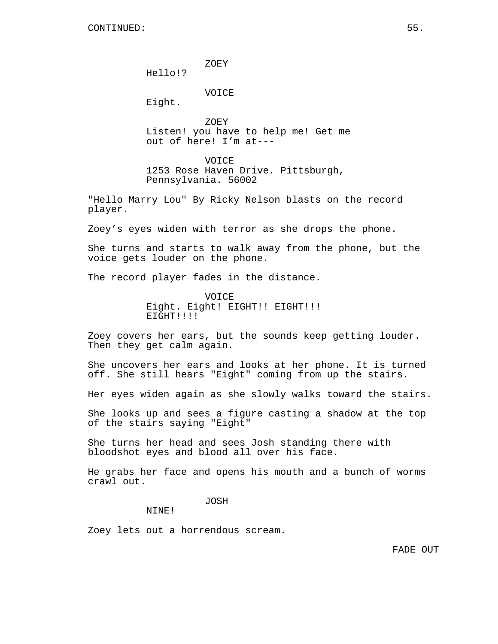ZOEY

Hello!?

VOICE

Eight.

ZOEY Listen! you have to help me! Get me out of here! I'm at---

VOICE 1253 Rose Haven Drive. Pittsburgh, Pennsylvania. 56002

"Hello Marry Lou" By Ricky Nelson blasts on the record player.

Zoey's eyes widen with terror as she drops the phone.

She turns and starts to walk away from the phone, but the voice gets louder on the phone.

The record player fades in the distance.

VOICE Eight. Eight! EIGHT!! EIGHT!!! EIGHT!!!!

Zoey covers her ears, but the sounds keep getting louder. Then they get calm again.

She uncovers her ears and looks at her phone. It is turned off. She still hears "Eight" coming from up the stairs.

Her eyes widen again as she slowly walks toward the stairs.

She looks up and sees a figure casting a shadow at the top of the stairs saying "Eight"

She turns her head and sees Josh standing there with bloodshot eyes and blood all over his face.

He grabs her face and opens his mouth and a bunch of worms crawl out.

JOSH

NINE!

Zoey lets out a horrendous scream.

FADE OUT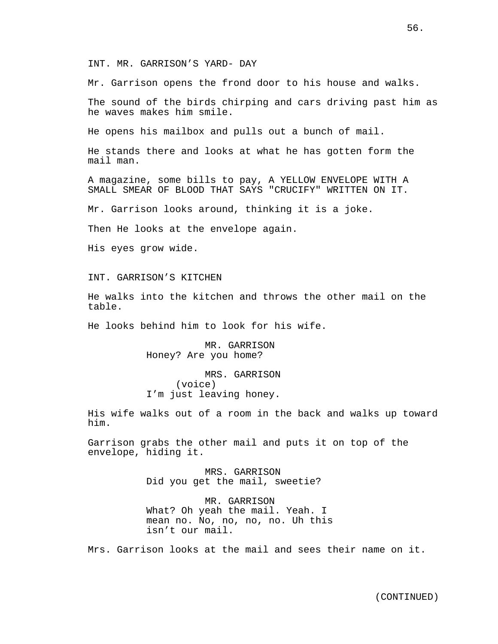INT. MR. GARRISON'S YARD- DAY

Mr. Garrison opens the frond door to his house and walks.

The sound of the birds chirping and cars driving past him as he waves makes him smile.

He opens his mailbox and pulls out a bunch of mail.

He stands there and looks at what he has gotten form the mail man.

A magazine, some bills to pay, A YELLOW ENVELOPE WITH A SMALL SMEAR OF BLOOD THAT SAYS "CRUCIFY" WRITTEN ON IT.

Mr. Garrison looks around, thinking it is a joke.

Then He looks at the envelope again.

His eyes grow wide.

INT. GARRISON'S KITCHEN

He walks into the kitchen and throws the other mail on the table.

He looks behind him to look for his wife.

MR. GARRISON Honey? Are you home?

MRS. GARRISON (voice) I'm just leaving honey.

His wife walks out of a room in the back and walks up toward him.

Garrison grabs the other mail and puts it on top of the envelope, hiding it.

> MRS. GARRISON Did you get the mail, sweetie?

MR. GARRISON What? Oh yeah the mail. Yeah. I mean no. No, no, no, no. Uh this isn't our mail.

Mrs. Garrison looks at the mail and sees their name on it.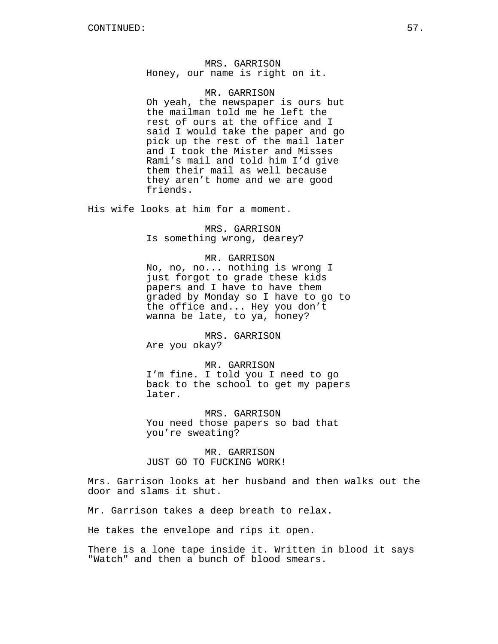MRS. GARRISON Honey, our name is right on it.

MR. GARRISON

Oh yeah, the newspaper is ours but the mailman told me he left the rest of ours at the office and I said I would take the paper and go pick up the rest of the mail later and I took the Mister and Misses Rami's mail and told him I'd give them their mail as well because they aren't home and we are good friends.

His wife looks at him for a moment.

MRS. GARRISON Is something wrong, dearey?

MR. GARRISON No, no, no... nothing is wrong I just forgot to grade these kids papers and I have to have them graded by Monday so I have to go to the office and... Hey you don't wanna be late, to ya, honey?

MRS. GARRISON Are you okay?

MR. GARRISON I'm fine. I told you I need to go back to the school to get my papers later.

MRS. GARRISON You need those papers so bad that you're sweating?

MR. GARRISON JUST GO TO FUCKING WORK!

Mrs. Garrison looks at her husband and then walks out the door and slams it shut.

Mr. Garrison takes a deep breath to relax.

He takes the envelope and rips it open.

There is a lone tape inside it. Written in blood it says "Watch" and then a bunch of blood smears.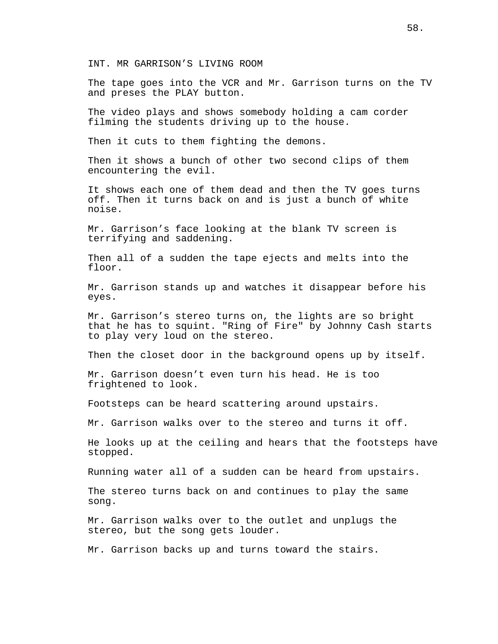INT. MR GARRISON'S LIVING ROOM

The tape goes into the VCR and Mr. Garrison turns on the TV and preses the PLAY button.

The video plays and shows somebody holding a cam corder filming the students driving up to the house.

Then it cuts to them fighting the demons.

Then it shows a bunch of other two second clips of them encountering the evil.

It shows each one of them dead and then the TV goes turns off. Then it turns back on and is just a bunch of white noise.

Mr. Garrison's face looking at the blank TV screen is terrifying and saddening.

Then all of a sudden the tape ejects and melts into the floor.

Mr. Garrison stands up and watches it disappear before his eyes.

Mr. Garrison's stereo turns on, the lights are so bright that he has to squint. "Ring of Fire" by Johnny Cash starts to play very loud on the stereo.

Then the closet door in the background opens up by itself.

Mr. Garrison doesn't even turn his head. He is too frightened to look.

Footsteps can be heard scattering around upstairs.

Mr. Garrison walks over to the stereo and turns it off.

He looks up at the ceiling and hears that the footsteps have stopped.

Running water all of a sudden can be heard from upstairs.

The stereo turns back on and continues to play the same song.

Mr. Garrison walks over to the outlet and unplugs the stereo, but the song gets louder.

Mr. Garrison backs up and turns toward the stairs.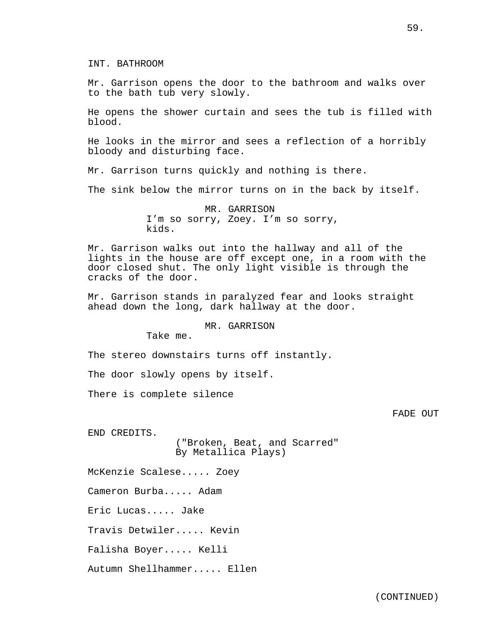Mr. Garrison opens the door to the bathroom and walks over to the bath tub very slowly.

He opens the shower curtain and sees the tub is filled with blood.

He looks in the mirror and sees a reflection of a horribly bloody and disturbing face.

Mr. Garrison turns quickly and nothing is there.

The sink below the mirror turns on in the back by itself.

MR. GARRISON I'm so sorry, Zoey. I'm so sorry, kids.

Mr. Garrison walks out into the hallway and all of the lights in the house are off except one, in a room with the door closed shut. The only light visible is through the cracks of the door.

Mr. Garrison stands in paralyzed fear and looks straight ahead down the long, dark hallway at the door.

# MR. GARRISON

Take me.

The stereo downstairs turns off instantly.

The door slowly opens by itself.

There is complete silence

FADE OUT

END CREDITS.

("Broken, Beat, and Scarred" By Metallica Plays)

McKenzie Scalese..... Zoey

Cameron Burba..... Adam

Eric Lucas..... Jake

Travis Detwiler..... Kevin

Falisha Boyer..... Kelli

Autumn Shellhammer..... Ellen